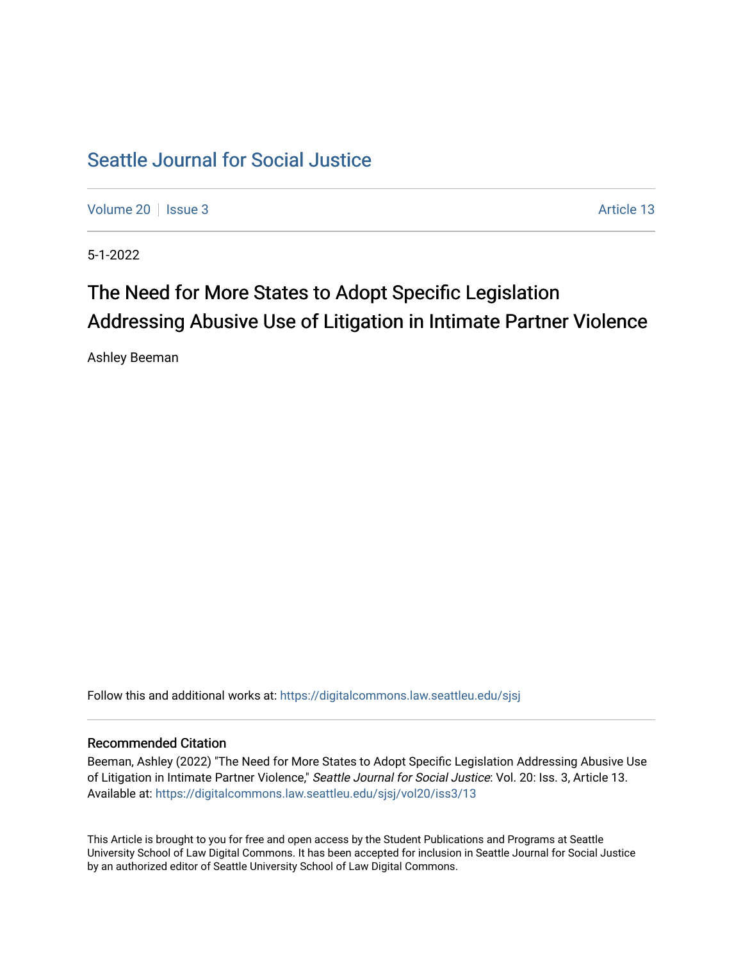# [Seattle Journal for Social Justice](https://digitalcommons.law.seattleu.edu/sjsj)

[Volume 20](https://digitalcommons.law.seattleu.edu/sjsj/vol20) | [Issue 3](https://digitalcommons.law.seattleu.edu/sjsj/vol20/iss3) Article 13

5-1-2022

# The Need for More States to Adopt Specific Legislation Addressing Abusive Use of Litigation in Intimate Partner Violence

Ashley Beeman

Follow this and additional works at: [https://digitalcommons.law.seattleu.edu/sjsj](https://digitalcommons.law.seattleu.edu/sjsj?utm_source=digitalcommons.law.seattleu.edu%2Fsjsj%2Fvol20%2Fiss3%2F13&utm_medium=PDF&utm_campaign=PDFCoverPages)

## Recommended Citation

Beeman, Ashley (2022) "The Need for More States to Adopt Specific Legislation Addressing Abusive Use of Litigation in Intimate Partner Violence," Seattle Journal for Social Justice: Vol. 20: Iss. 3, Article 13. Available at: [https://digitalcommons.law.seattleu.edu/sjsj/vol20/iss3/13](https://digitalcommons.law.seattleu.edu/sjsj/vol20/iss3/13?utm_source=digitalcommons.law.seattleu.edu%2Fsjsj%2Fvol20%2Fiss3%2F13&utm_medium=PDF&utm_campaign=PDFCoverPages) 

This Article is brought to you for free and open access by the Student Publications and Programs at Seattle University School of Law Digital Commons. It has been accepted for inclusion in Seattle Journal for Social Justice by an authorized editor of Seattle University School of Law Digital Commons.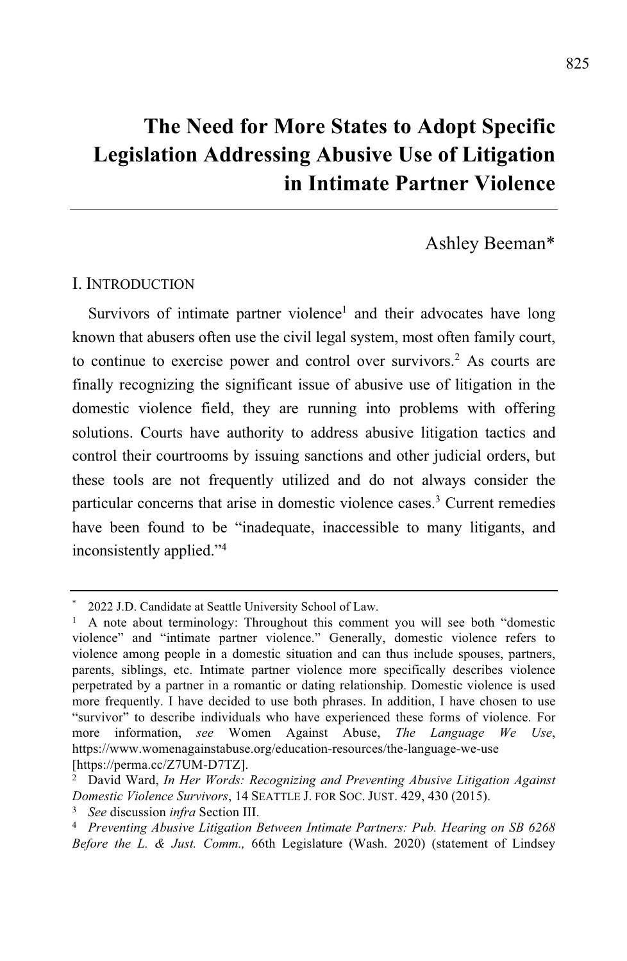# **The Need for More States to Adopt Specific Legislation Addressing Abusive Use of Litigation in Intimate Partner Violence**

Ashley Beeman\*

#### I. INTRODUCTION

Survivors of intimate partner violence<sup>1</sup> and their advocates have long known that abusers often use the civil legal system, most often family court, to continue to exercise power and control over survivors.<sup>2</sup> As courts are finally recognizing the significant issue of abusive use of litigation in the domestic violence field, they are running into problems with offering solutions. Courts have authority to address abusive litigation tactics and control their courtrooms by issuing sanctions and other judicial orders, but these tools are not frequently utilized and do not always consider the particular concerns that arise in domestic violence cases.<sup>3</sup> Current remedies have been found to be "inadequate, inaccessible to many litigants, and inconsistently applied."<sup>4</sup>

<sup>\*</sup> 2022 J.D. Candidate at Seattle University School of Law.

<sup>1</sup> A note about terminology: Throughout this comment you will see both "domestic violence" and "intimate partner violence." Generally, domestic violence refers to violence among people in a domestic situation and can thus include spouses, partners, parents, siblings, etc. Intimate partner violence more specifically describes violence perpetrated by a partner in a romantic or dating relationship. Domestic violence is used more frequently. I have decided to use both phrases. In addition, I have chosen to use "survivor" to describe individuals who have experienced these forms of violence. For more information, *see* Women Against Abuse, *The Language We Use*, https://www.womenagainstabuse.org/education-resources/the-language-we-use [https://perma.cc/Z7UM-D7TZ].

<sup>2</sup> David Ward, *In Her Words: Recognizing and Preventing Abusive Litigation Against Domestic Violence Survivors*, 14 SEATTLE J. FOR SOC. JUST. 429, 430 (2015).

<sup>3</sup> *See* discussion *infra* Section III.

<sup>4</sup> *Preventing Abusive Litigation Between Intimate Partners: Pub. Hearing on SB 6268 Before the L. & Just. Comm.,* 66th Legislature (Wash. 2020) (statement of Lindsey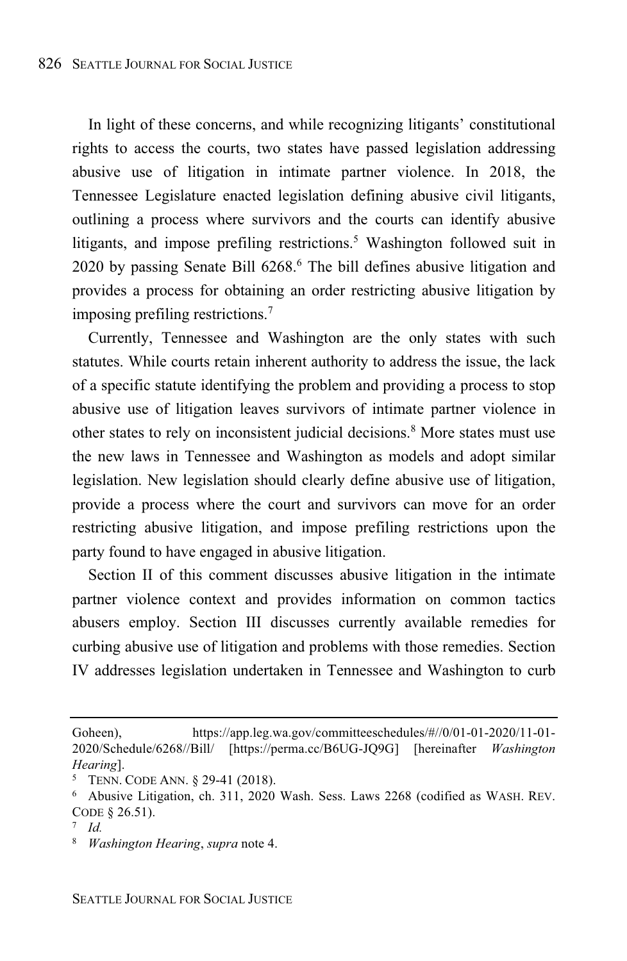In light of these concerns, and while recognizing litigants' constitutional rights to access the courts, two states have passed legislation addressing abusive use of litigation in intimate partner violence. In 2018, the Tennessee Legislature enacted legislation defining abusive civil litigants, outlining a process where survivors and the courts can identify abusive litigants, and impose prefiling restrictions.<sup>5</sup> Washington followed suit in 2020 by passing Senate Bill 6268.<sup>6</sup> The bill defines abusive litigation and provides a process for obtaining an order restricting abusive litigation by imposing prefiling restrictions.<sup>7</sup>

Currently, Tennessee and Washington are the only states with such statutes. While courts retain inherent authority to address the issue, the lack of a specific statute identifying the problem and providing a process to stop abusive use of litigation leaves survivors of intimate partner violence in other states to rely on inconsistent judicial decisions.<sup>8</sup> More states must use the new laws in Tennessee and Washington as models and adopt similar legislation. New legislation should clearly define abusive use of litigation, provide a process where the court and survivors can move for an order restricting abusive litigation, and impose prefiling restrictions upon the party found to have engaged in abusive litigation.

Section II of this comment discusses abusive litigation in the intimate partner violence context and provides information on common tactics abusers employ. Section III discusses currently available remedies for curbing abusive use of litigation and problems with those remedies. Section IV addresses legislation undertaken in Tennessee and Washington to curb

Goheen), https://app.leg.wa.gov/committeeschedules/#//0/01-01-2020/11-01-2020/Schedule/6268//Bill/ [https://perma.cc/B6UG-JQ9G] [hereinafter *Washington Hearing*].

<sup>5</sup> TENN. CODE ANN. § 29-41 (2018).

<sup>6</sup> Abusive Litigation, ch. 311, 2020 Wash. Sess. Laws 2268 (codified as WASH. REV. CODE § 26.51).

<sup>7</sup> *Id.*

<sup>8</sup> *Washington Hearing*, *supra* note 4.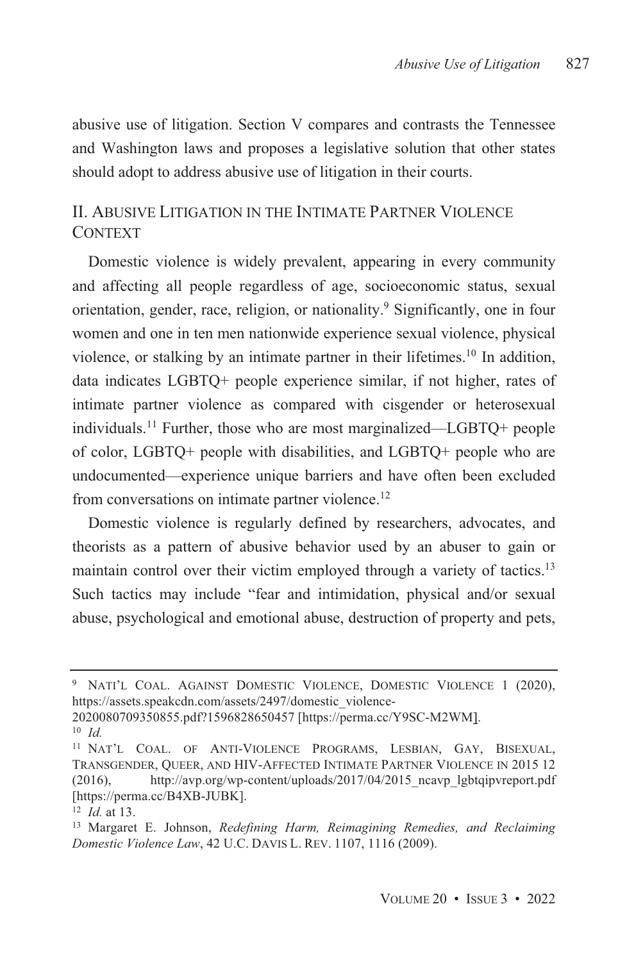abusive use of litigation. Section V compares and contrasts the Tennessee and Washington laws and proposes a legislative solution that other states should adopt to address abusive use of litigation in their courts.

# II. ABUSIVE LITIGATION IN THE INTIMATE PARTNER VIOLENCE CONTEXT

Domestic violence is widely prevalent, appearing in every community and affecting all people regardless of age, socioeconomic status, sexual orientation, gender, race, religion, or nationality. <sup>9</sup> Significantly, one in four women and one in ten men nationwide experience sexual violence, physical violence, or stalking by an intimate partner in their lifetimes. <sup>10</sup> In addition, data indicates LGBTQ+ people experience similar, if not higher, rates of intimate partner violence as compared with cisgender or heterosexual individuals.<sup>11</sup> Further, those who are most marginalized—LGBTQ+ people of color, LGBTQ+ people with disabilities, and LGBTQ+ people who are undocumented—experience unique barriers and have often been excluded from conversations on intimate partner violence.<sup>12</sup>

Domestic violence is regularly defined by researchers, advocates, and theorists as a pattern of abusive behavior used by an abuser to gain or maintain control over their victim employed through a variety of tactics.<sup>13</sup> Such tactics may include "fear and intimidation, physical and/or sexual abuse, psychological and emotional abuse, destruction of property and pets,

<sup>&</sup>lt;sup>9</sup> NATI'L COAL. AGAINST DOMESTIC VIOLENCE, DOMESTIC VIOLENCE 1 (2020), https://assets.speakcdn.com/assets/2497/domestic\_violence-

<sup>2020080709350855.</sup>pdf?1596828650457 [https://perma.cc/Y9SC-M2WM].

<sup>10</sup> *Id.*

<sup>11</sup> NAT'L COAL. OF ANTI-VIOLENCE PROGRAMS, LESBIAN, GAY, BISEXUAL, TRANSGENDER, QUEER, AND HIV-AFFECTED INTIMATE PARTNER VIOLENCE IN 2015 12 (2016), http://avp.org/wp-content/uploads/2017/04/2015\_ncavp\_lgbtqipvreport.pdf [https://perma.cc/B4XB-JUBK].

<sup>12</sup> *Id.* at 13.

<sup>13</sup> Margaret E. Johnson, *Redefining Harm, Reimagining Remedies, and Reclaiming Domestic Violence Law*, 42 U.C. DAVIS L. REV. 1107, 1116 (2009).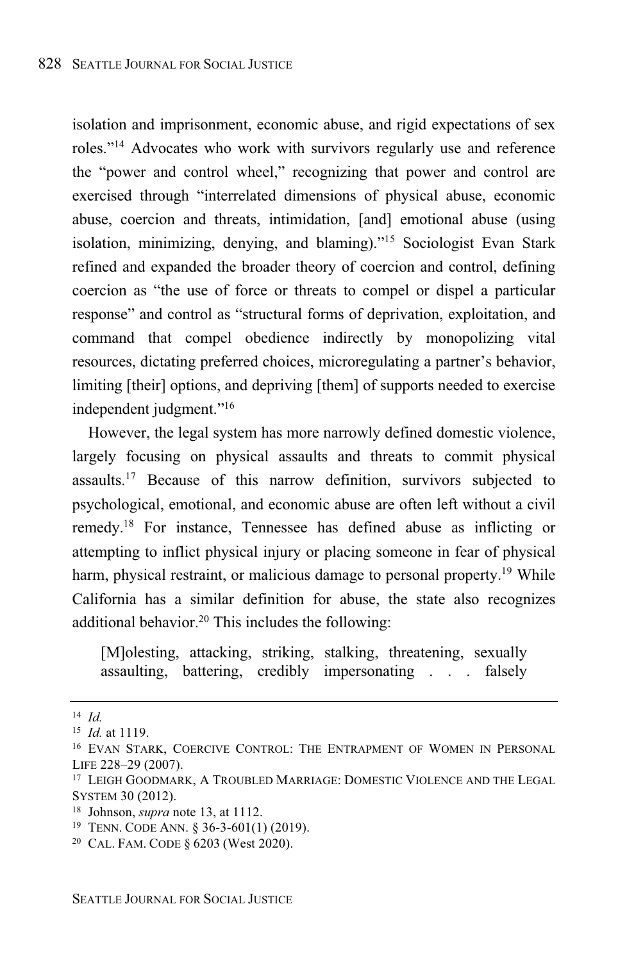isolation and imprisonment, economic abuse, and rigid expectations of sex roles."<sup>14</sup> Advocates who work with survivors regularly use and reference the "power and control wheel," recognizing that power and control are exercised through "interrelated dimensions of physical abuse, economic abuse, coercion and threats, intimidation, [and] emotional abuse (using isolation, minimizing, denying, and blaming)."<sup>15</sup> Sociologist Evan Stark refined and expanded the broader theory of coercion and control, defining coercion as "the use of force or threats to compel or dispel a particular response" and control as "structural forms of deprivation, exploitation, and command that compel obedience indirectly by monopolizing vital resources, dictating preferred choices, microregulating a partner's behavior, limiting [their] options, and depriving [them] of supports needed to exercise independent judgment."<sup>16</sup>

However, the legal system has more narrowly defined domestic violence, largely focusing on physical assaults and threats to commit physical assaults.<sup>17</sup> Because of this narrow definition, survivors subjected to psychological, emotional, and economic abuse are often left without a civil remedy. <sup>18</sup> For instance, Tennessee has defined abuse as inflicting or attempting to inflict physical injury or placing someone in fear of physical harm, physical restraint, or malicious damage to personal property.<sup>19</sup> While California has a similar definition for abuse, the state also recognizes additional behavior.<sup>20</sup> This includes the following:

[M]olesting, attacking, striking, stalking, threatening, sexually assaulting, battering, credibly impersonating . . . falsely

<sup>14</sup> *Id.*

<sup>15</sup> *Id.* at 1119.

<sup>16</sup> EVAN STARK, COERCIVE CONTROL: THE ENTRAPMENT OF WOMEN IN PERSONAL LIFE 228–29 (2007).

<sup>17</sup> LEIGH GOODMARK, A TROUBLED MARRIAGE: DOMESTIC VIOLENCE AND THE LEGAL SYSTEM 30 (2012).

<sup>18</sup> Johnson, *supra* note 13, at 1112.

<sup>19</sup> TENN. CODE ANN. § 36-3-601(1) (2019).

<sup>20</sup> CAL. FAM. CODE § 6203 (West 2020).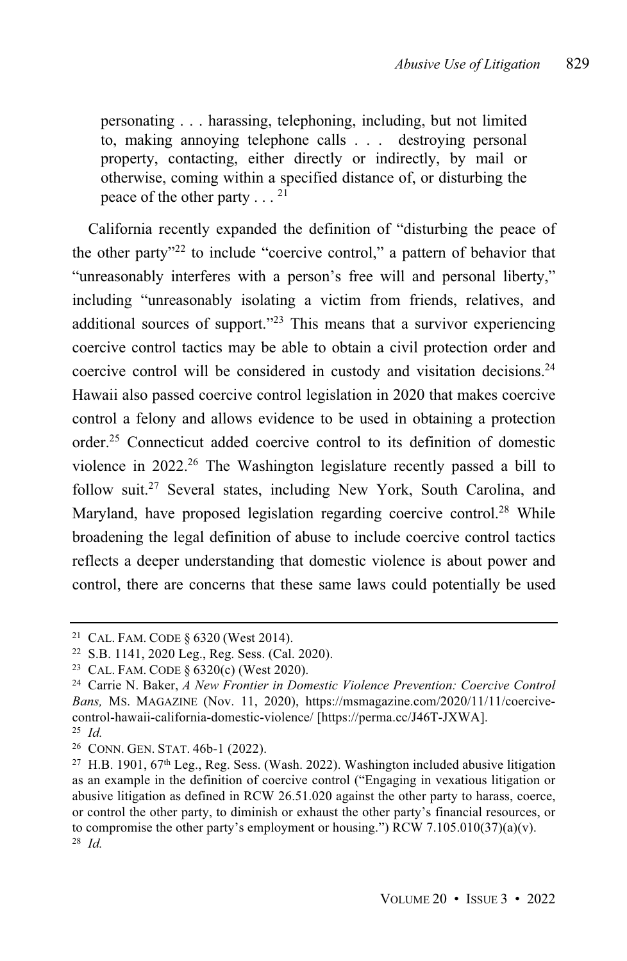personating . . . harassing, telephoning, including, but not limited to, making annoying telephone calls . . . destroying personal property, contacting, either directly or indirectly, by mail or otherwise, coming within a specified distance of, or disturbing the peace of the other party  $\dots$ <sup>21</sup>

California recently expanded the definition of "disturbing the peace of the other party" <sup>22</sup> to include "coercive control," a pattern of behavior that "unreasonably interferes with a person's free will and personal liberty," including "unreasonably isolating a victim from friends, relatives, and additional sources of support."<sup>23</sup> This means that a survivor experiencing coercive control tactics may be able to obtain a civil protection order and coercive control will be considered in custody and visitation decisions.<sup>24</sup> Hawaii also passed coercive control legislation in 2020 that makes coercive control a felony and allows evidence to be used in obtaining a protection order. <sup>25</sup> Connecticut added coercive control to its definition of domestic violence in  $2022<sup>26</sup>$  The Washington legislature recently passed a bill to follow suit.<sup>27</sup> Several states, including New York, South Carolina, and Maryland, have proposed legislation regarding coercive control.<sup>28</sup> While broadening the legal definition of abuse to include coercive control tactics reflects a deeper understanding that domestic violence is about power and control, there are concerns that these same laws could potentially be used

<sup>21</sup> CAL. FAM. CODE § 6320 (West 2014).

<sup>22</sup> S.B. 1141, 2020 Leg., Reg. Sess. (Cal. 2020).

<sup>23</sup> CAL. FAM. CODE § 6320(c) (West 2020).

<sup>24</sup> Carrie N. Baker, *A New Frontier in Domestic Violence Prevention: Coercive Control Bans,* MS. MAGAZINE (Nov. 11, 2020), https://msmagazine.com/2020/11/11/coercivecontrol-hawaii-california-domestic-violence/ [https://perma.cc/J46T-JXWA].

<sup>25</sup> *Id.*

<sup>26</sup> CONN. GEN. STAT. 46b-1 (2022).

 $27$  H.B. 1901, 67<sup>th</sup> Leg., Reg. Sess. (Wash. 2022). Washington included abusive litigation as an example in the definition of coercive control ("Engaging in vexatious litigation or abusive litigation as defined in RCW 26.51.020 against the other party to harass, coerce, or control the other party, to diminish or exhaust the other party's financial resources, or to compromise the other party's employment or housing.") RCW 7.105.010(37)(a)(v). <sup>28</sup> *Id.*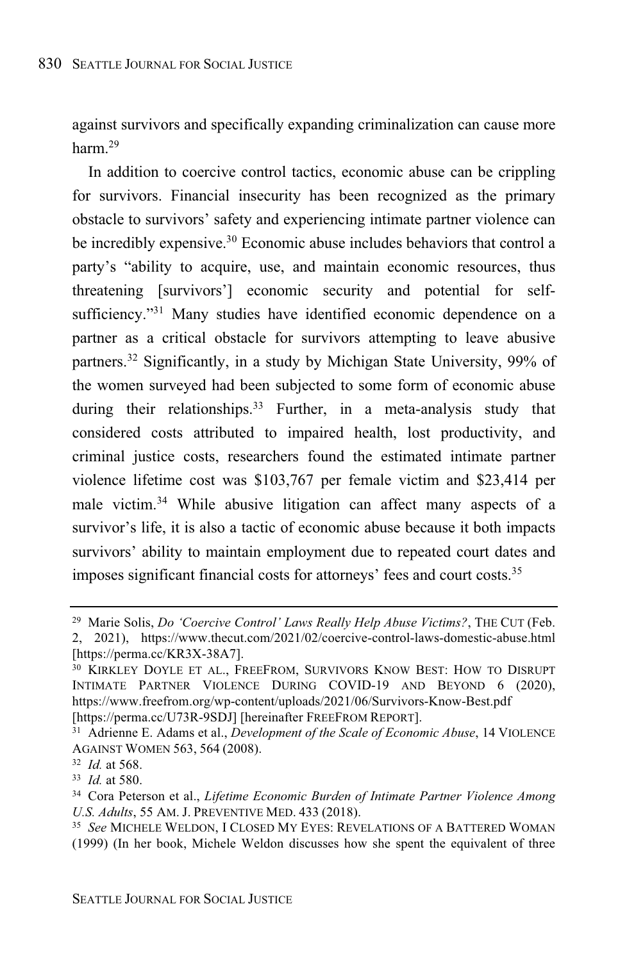against survivors and specifically expanding criminalization can cause more harm. 29

In addition to coercive control tactics, economic abuse can be crippling for survivors. Financial insecurity has been recognized as the primary obstacle to survivors' safety and experiencing intimate partner violence can be incredibly expensive.<sup>30</sup> Economic abuse includes behaviors that control a party's "ability to acquire, use, and maintain economic resources, thus threatening [survivors'] economic security and potential for selfsufficiency."<sup>31</sup> Many studies have identified economic dependence on a partner as a critical obstacle for survivors attempting to leave abusive partners.<sup>32</sup> Significantly, in a study by Michigan State University, 99% of the women surveyed had been subjected to some form of economic abuse during their relationships.<sup>33</sup> Further, in a meta-analysis study that considered costs attributed to impaired health, lost productivity, and criminal justice costs, researchers found the estimated intimate partner violence lifetime cost was \$103,767 per female victim and \$23,414 per male victim. <sup>34</sup> While abusive litigation can affect many aspects of a survivor's life, it is also a tactic of economic abuse because it both impacts survivors' ability to maintain employment due to repeated court dates and imposes significant financial costs for attorneys' fees and court costs.<sup>35</sup>

<sup>29</sup> Marie Solis, *Do 'Coercive Control' Laws Really Help Abuse Victims?*, THE CUT (Feb. 2, 2021), https://www.thecut.com/2021/02/coercive-control-laws-domestic-abuse.html

<sup>[</sup>https://perma.cc/KR3X-38A7].

<sup>30</sup> KIRKLEY DOYLE ET AL., FREEFROM, SURVIVORS KNOW BEST: HOW TO DISRUPT INTIMATE PARTNER VIOLENCE DURING COVID-19 AND BEYOND 6 (2020), https://www.freefrom.org/wp-content/uploads/2021/06/Survivors-Know-Best.pdf [https://perma.cc/U73R-9SDJ] [hereinafter FREEFROM REPORT].

<sup>31</sup> Adrienne E. Adams et al., *Development of the Scale of Economic Abuse*, 14 VIOLENCE AGAINST WOMEN 563, 564 (2008).

<sup>32</sup> *Id.* at 568.

<sup>33</sup> *Id.* at 580.

<sup>34</sup> Cora Peterson et al., *Lifetime Economic Burden of Intimate Partner Violence Among U.S. Adults*, 55 AM. J. PREVENTIVE MED. 433 (2018).

<sup>35</sup> *See* MICHELE WELDON, I CLOSED MY EYES: REVELATIONS OF A BATTERED WOMAN (1999) (In her book, Michele Weldon discusses how she spent the equivalent of three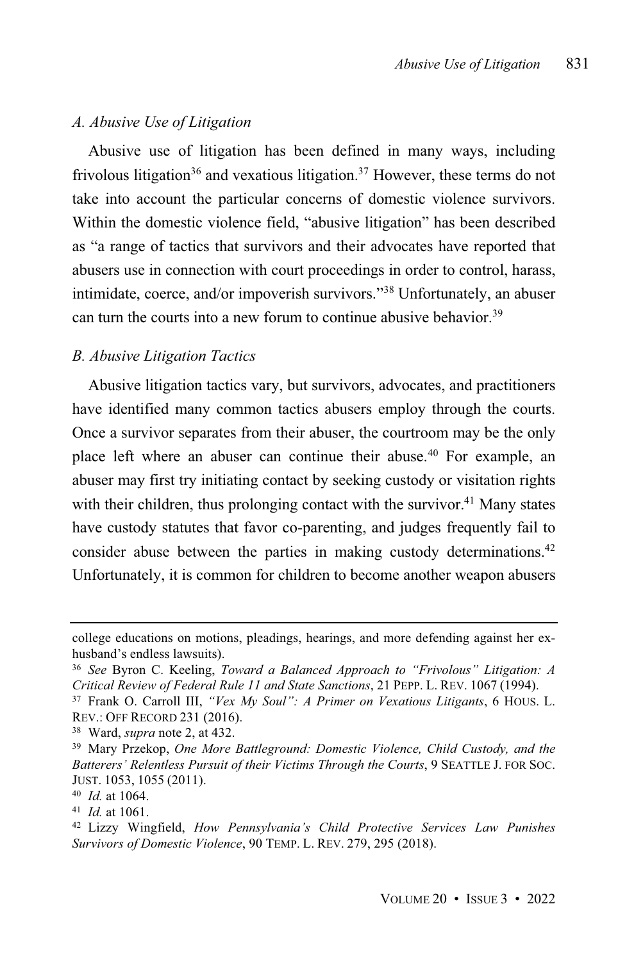#### *A. Abusive Use of Litigation*

Abusive use of litigation has been defined in many ways, including frivolous litigation<sup>36</sup> and vexatious litigation.<sup>37</sup> However, these terms do not take into account the particular concerns of domestic violence survivors. Within the domestic violence field, "abusive litigation" has been described as "a range of tactics that survivors and their advocates have reported that abusers use in connection with court proceedings in order to control, harass, intimidate, coerce, and/or impoverish survivors."<sup>38</sup> Unfortunately, an abuser can turn the courts into a new forum to continue abusive behavior.<sup>39</sup>

#### *B. Abusive Litigation Tactics*

Abusive litigation tactics vary, but survivors, advocates, and practitioners have identified many common tactics abusers employ through the courts. Once a survivor separates from their abuser, the courtroom may be the only place left where an abuser can continue their abuse.<sup>40</sup> For example, an abuser may first try initiating contact by seeking custody or visitation rights with their children, thus prolonging contact with the survivor.<sup>41</sup> Many states have custody statutes that favor co-parenting, and judges frequently fail to consider abuse between the parties in making custody determinations.<sup>42</sup> Unfortunately, it is common for children to become another weapon abusers

college educations on motions, pleadings, hearings, and more defending against her exhusband's endless lawsuits).

<sup>36</sup> *See* Byron C. Keeling, *Toward a Balanced Approach to "Frivolous" Litigation: A Critical Review of Federal Rule 11 and State Sanctions*, 21 PEPP. L. REV. 1067 (1994).

<sup>37</sup> Frank O. Carroll III, *"Vex My Soul": A Primer on Vexatious Litigants*, 6 HOUS. L. REV.: OFF RECORD 231 (2016).

<sup>38</sup> Ward, *supra* note 2, at 432.

<sup>39</sup> Mary Przekop, *One More Battleground: Domestic Violence, Child Custody, and the Batterers' Relentless Pursuit of their Victims Through the Courts*, 9 SEATTLE J. FOR SOC. JUST. 1053, 1055 (2011).

<sup>40</sup> *Id.* at 1064.

<sup>41</sup> *Id.* at 1061.

<sup>42</sup> Lizzy Wingfield, *How Pennsylvania's Child Protective Services Law Punishes Survivors of Domestic Violence*, 90 TEMP. L. REV. 279, 295 (2018).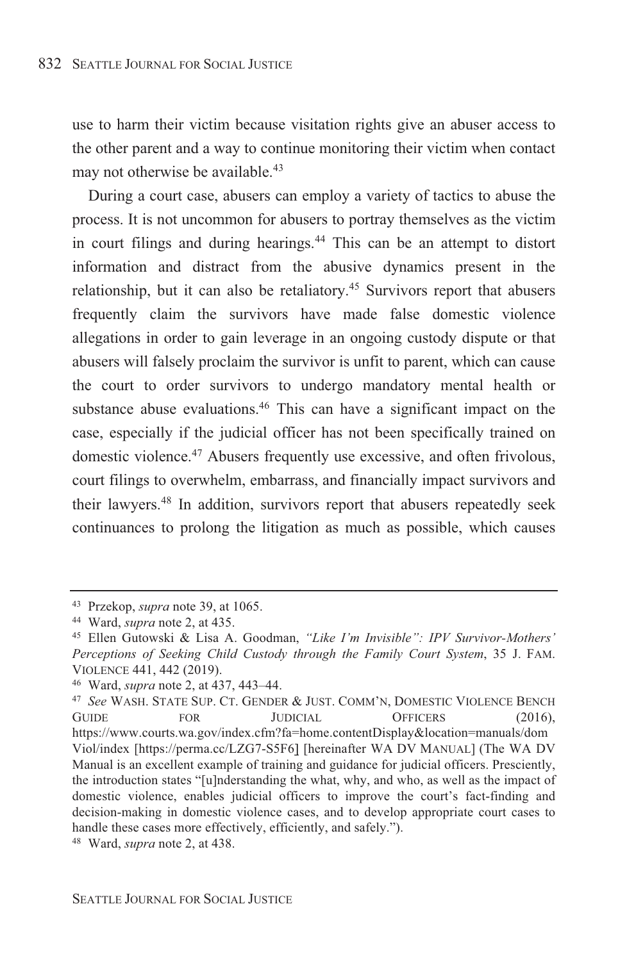use to harm their victim because visitation rights give an abuser access to the other parent and a way to continue monitoring their victim when contact may not otherwise be available.<sup>43</sup>

During a court case, abusers can employ a variety of tactics to abuse the process. It is not uncommon for abusers to portray themselves as the victim in court filings and during hearings.<sup>44</sup> This can be an attempt to distort information and distract from the abusive dynamics present in the relationship, but it can also be retaliatory.<sup>45</sup> Survivors report that abusers frequently claim the survivors have made false domestic violence allegations in order to gain leverage in an ongoing custody dispute or that abusers will falsely proclaim the survivor is unfit to parent, which can cause the court to order survivors to undergo mandatory mental health or substance abuse evaluations.<sup>46</sup> This can have a significant impact on the case, especially if the judicial officer has not been specifically trained on domestic violence.<sup>47</sup> Abusers frequently use excessive, and often frivolous, court filings to overwhelm, embarrass, and financially impact survivors and their lawyers. <sup>48</sup> In addition, survivors report that abusers repeatedly seek continuances to prolong the litigation as much as possible, which causes

<sup>43</sup> Przekop, *supra* note 39, at 1065.

<sup>44</sup> Ward, *supra* note 2, at 435.

<sup>45</sup> Ellen Gutowski & Lisa A. Goodman, *"Like I'm Invisible": IPV Survivor-Mothers' Perceptions of Seeking Child Custody through the Family Court System*, 35 J. FAM. VIOLENCE 441, 442 (2019).

<sup>46</sup> Ward, *supra* note 2, at 437, 443–44.

<sup>47</sup> *See* WASH. STATE SUP. CT. GENDER & JUST. COMM'N, DOMESTIC VIOLENCE BENCH GUIDE FOR JUDICIAL OFFICERS (2016), https://www.courts.wa.gov/index.cfm?fa=home.contentDisplay&location=manuals/dom Viol/index [https://perma.cc/LZG7-S5F6] [hereinafter WA DV MANUAL] (The WA DV Manual is an excellent example of training and guidance for judicial officers. Presciently, the introduction states "[u]nderstanding the what, why, and who, as well as the impact of domestic violence, enables judicial officers to improve the court's fact-finding and decision-making in domestic violence cases, and to develop appropriate court cases to handle these cases more effectively, efficiently, and safely.").

<sup>48</sup> Ward, *supra* note 2, at 438.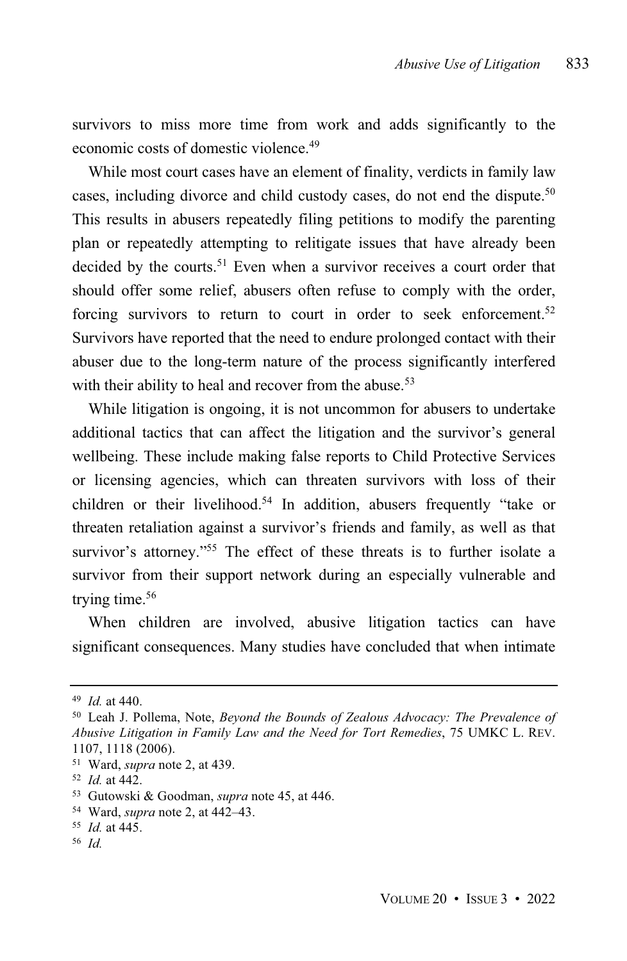survivors to miss more time from work and adds significantly to the economic costs of domestic violence.<sup>49</sup>

While most court cases have an element of finality, verdicts in family law cases, including divorce and child custody cases, do not end the dispute. 50 This results in abusers repeatedly filing petitions to modify the parenting plan or repeatedly attempting to relitigate issues that have already been decided by the courts.<sup>51</sup> Even when a survivor receives a court order that should offer some relief, abusers often refuse to comply with the order, forcing survivors to return to court in order to seek enforcement.<sup>52</sup> Survivors have reported that the need to endure prolonged contact with their abuser due to the long-term nature of the process significantly interfered with their ability to heal and recover from the abuse.<sup>53</sup>

While litigation is ongoing, it is not uncommon for abusers to undertake additional tactics that can affect the litigation and the survivor's general wellbeing. These include making false reports to Child Protective Services or licensing agencies, which can threaten survivors with loss of their children or their livelihood.<sup>54</sup> In addition, abusers frequently "take or threaten retaliation against a survivor's friends and family, as well as that survivor's attorney."<sup>55</sup> The effect of these threats is to further isolate a survivor from their support network during an especially vulnerable and trying time.<sup>56</sup>

When children are involved, abusive litigation tactics can have significant consequences. Many studies have concluded that when intimate

<sup>49</sup> *Id.* at 440.

<sup>50</sup> Leah J. Pollema, Note, *Beyond the Bounds of Zealous Advocacy: The Prevalence of Abusive Litigation in Family Law and the Need for Tort Remedies*, 75 UMKC L. REV. 1107, 1118 (2006).

<sup>51</sup> Ward, *supra* note 2, at 439.

<sup>52</sup> *Id.* at 442.

<sup>53</sup> Gutowski & Goodman, *supra* note 45, at 446.

<sup>54</sup> Ward, *supra* note 2, at 442–43.

<sup>55</sup> *Id.* at 445.

<sup>56</sup> *Id.*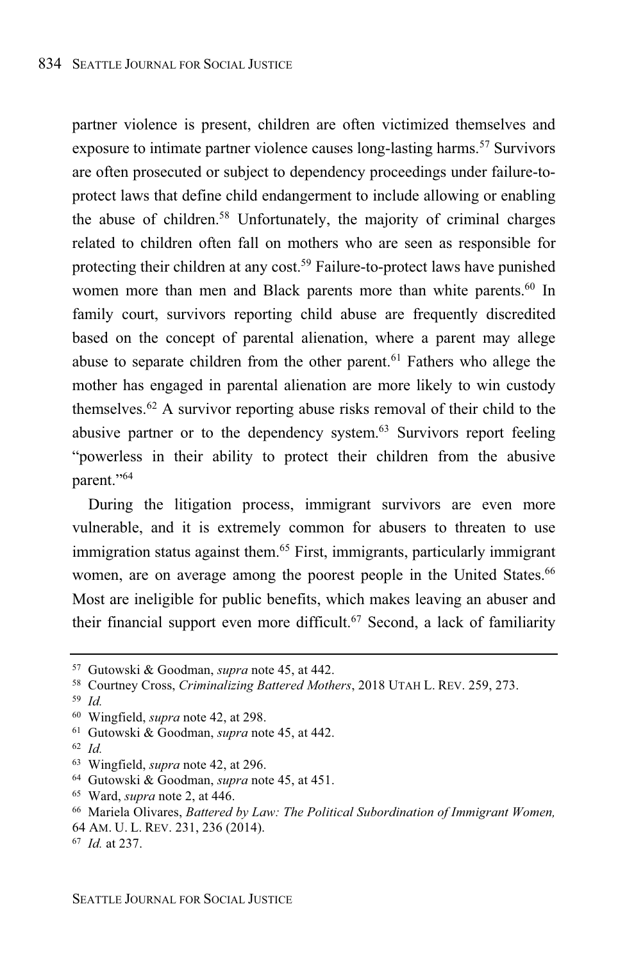partner violence is present, children are often victimized themselves and exposure to intimate partner violence causes long-lasting harms.<sup>57</sup> Survivors are often prosecuted or subject to dependency proceedings under failure-toprotect laws that define child endangerment to include allowing or enabling the abuse of children.<sup>58</sup> Unfortunately, the majority of criminal charges related to children often fall on mothers who are seen as responsible for protecting their children at any cost. <sup>59</sup> Failure-to-protect laws have punished women more than men and Black parents more than white parents.<sup>60</sup> In family court, survivors reporting child abuse are frequently discredited based on the concept of parental alienation, where a parent may allege abuse to separate children from the other parent.<sup>61</sup> Fathers who allege the mother has engaged in parental alienation are more likely to win custody themselves. <sup>62</sup> A survivor reporting abuse risks removal of their child to the abusive partner or to the dependency system. <sup>63</sup> Survivors report feeling "powerless in their ability to protect their children from the abusive parent."<sup>64</sup>

During the litigation process, immigrant survivors are even more vulnerable, and it is extremely common for abusers to threaten to use immigration status against them. <sup>65</sup> First, immigrants, particularly immigrant women, are on average among the poorest people in the United States. 66 Most are ineligible for public benefits, which makes leaving an abuser and their financial support even more difficult. <sup>67</sup> Second, a lack of familiarity

<sup>64</sup> Gutowski & Goodman, *supra* note 45, at 451.

<sup>57</sup> Gutowski & Goodman, *supra* note 45, at 442.

<sup>58</sup> Courtney Cross, *Criminalizing Battered Mothers*, 2018 UTAH L. REV. 259, 273.

<sup>59</sup> *Id.*

<sup>60</sup> Wingfield, *supra* note 42, at 298.

<sup>61</sup> Gutowski & Goodman, *supra* note 45, at 442.

<sup>62</sup> *Id.*

<sup>63</sup> Wingfield, *supra* note 42, at 296.

<sup>65</sup> Ward, *supra* note 2, at 446.

<sup>66</sup> Mariela Olivares, *Battered by Law: The Political Subordination of Immigrant Women,*

<sup>64</sup> AM. U. L. REV. 231, 236 (2014).

<sup>67</sup> *Id.* at 237.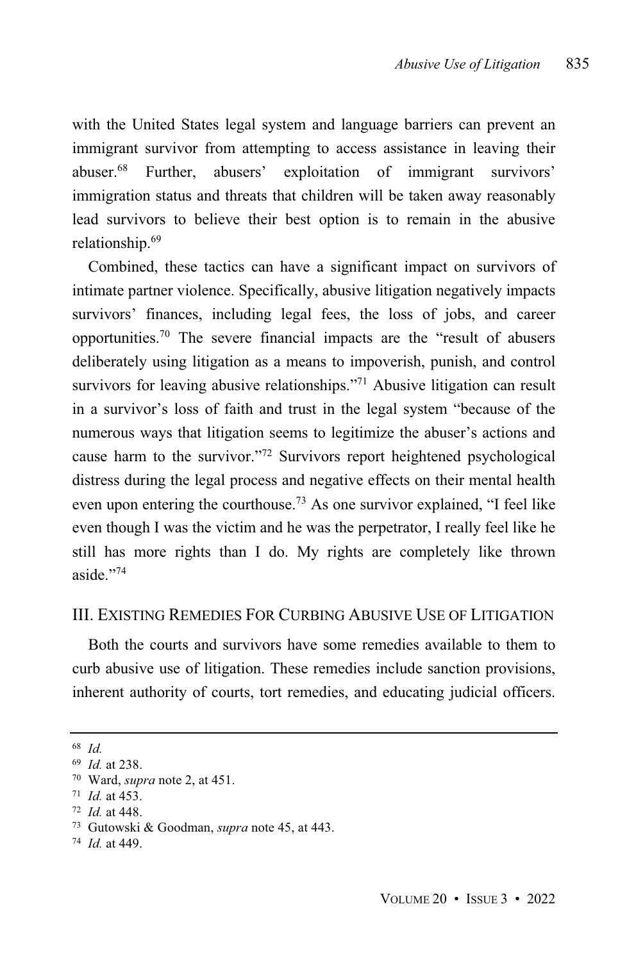with the United States legal system and language barriers can prevent an immigrant survivor from attempting to access assistance in leaving their abuser.<sup>68</sup> Further, abusers' exploitation of immigrant survivors' immigration status and threats that children will be taken away reasonably lead survivors to believe their best option is to remain in the abusive relationship.<sup>69</sup>

Combined, these tactics can have a significant impact on survivors of intimate partner violence. Specifically, abusive litigation negatively impacts survivors' finances, including legal fees, the loss of jobs, and career opportunities.<sup>70</sup> The severe financial impacts are the "result of abusers deliberately using litigation as a means to impoverish, punish, and control survivors for leaving abusive relationships."<sup>71</sup> Abusive litigation can result in a survivor's loss of faith and trust in the legal system "because of the numerous ways that litigation seems to legitimize the abuser's actions and cause harm to the survivor."<sup>72</sup> Survivors report heightened psychological distress during the legal process and negative effects on their mental health even upon entering the courthouse.<sup>73</sup> As one survivor explained, "I feel like even though I was the victim and he was the perpetrator, I really feel like he still has more rights than I do. My rights are completely like thrown aside." 74

#### III. EXISTING REMEDIES FOR CURBING ABUSIVE USE OF LITIGATION

Both the courts and survivors have some remedies available to them to curb abusive use of litigation. These remedies include sanction provisions, inherent authority of courts, tort remedies, and educating judicial officers.

<sup>68</sup> *Id.*

<sup>69</sup> *Id.* at 238.

<sup>70</sup> Ward, *supra* note 2, at 451.

<sup>71</sup> *Id.* at 453.

<sup>72</sup> *Id.* at 448.

<sup>73</sup> Gutowski & Goodman, *supra* note 45, at 443.

<sup>74</sup> *Id.* at 449.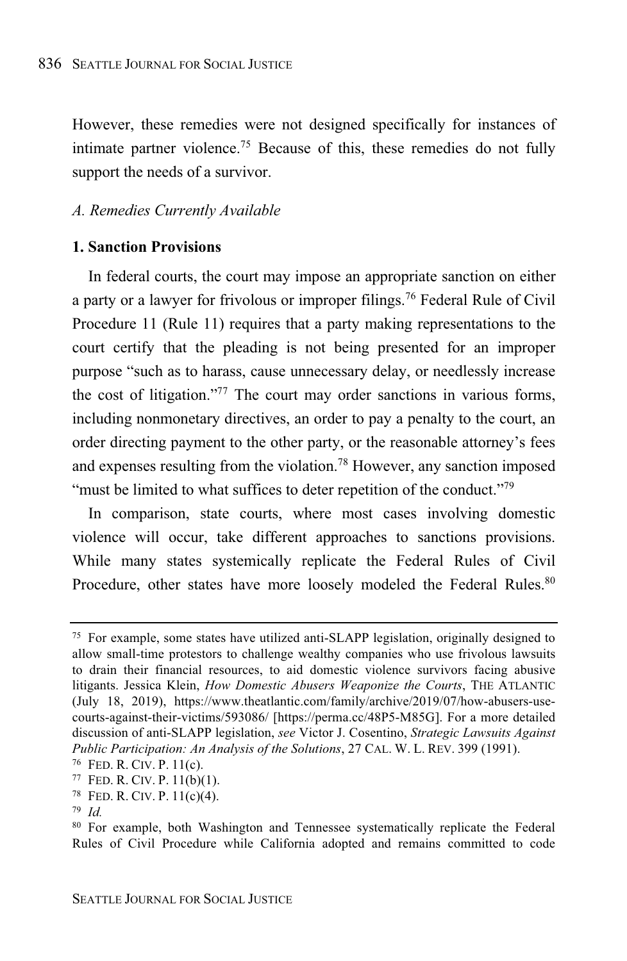However, these remedies were not designed specifically for instances of intimate partner violence.<sup>75</sup> Because of this, these remedies do not fully support the needs of a survivor.

#### *A. Remedies Currently Available*

#### **1. Sanction Provisions**

In federal courts, the court may impose an appropriate sanction on either a party or a lawyer for frivolous or improper filings.<sup>76</sup> Federal Rule of Civil Procedure 11 (Rule 11) requires that a party making representations to the court certify that the pleading is not being presented for an improper purpose "such as to harass, cause unnecessary delay, or needlessly increase the cost of litigation."<sup>77</sup> The court may order sanctions in various forms, including nonmonetary directives, an order to pay a penalty to the court, an order directing payment to the other party, or the reasonable attorney's fees and expenses resulting from the violation.<sup>78</sup> However, any sanction imposed "must be limited to what suffices to deter repetition of the conduct."<sup>79</sup>

In comparison, state courts, where most cases involving domestic violence will occur, take different approaches to sanctions provisions. While many states systemically replicate the Federal Rules of Civil Procedure, other states have more loosely modeled the Federal Rules.<sup>80</sup>

<sup>77</sup> FED. R. CIV. P. 11(b)(1).

<sup>75</sup> For example, some states have utilized anti-SLAPP legislation, originally designed to allow small-time protestors to challenge wealthy companies who use frivolous lawsuits to drain their financial resources, to aid domestic violence survivors facing abusive litigants. Jessica Klein, *How Domestic Abusers Weaponize the Courts*, THE ATLANTIC (July 18, 2019), https://www.theatlantic.com/family/archive/2019/07/how-abusers-usecourts-against-their-victims/593086/ [https://perma.cc/48P5-M85G]. For a more detailed discussion of anti-SLAPP legislation, *see* Victor J. Cosentino, *Strategic Lawsuits Against Public Participation: An Analysis of the Solutions*, 27 CAL. W. L. REV. 399 (1991).

<sup>76</sup> FED. R. CIV. P. 11(c).

<sup>78</sup> FED. R. CIV. P. 11(c)(4).

<sup>79</sup> *Id.*

<sup>80</sup> For example, both Washington and Tennessee systematically replicate the Federal Rules of Civil Procedure while California adopted and remains committed to code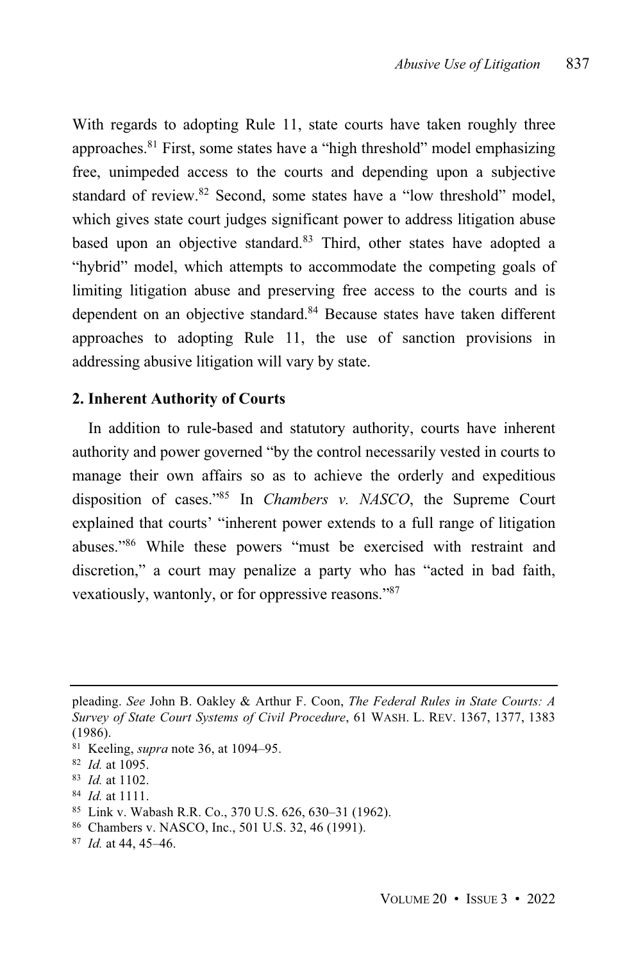With regards to adopting Rule 11, state courts have taken roughly three approaches. <sup>81</sup> First, some states have a "high threshold" model emphasizing free, unimpeded access to the courts and depending upon a subjective standard of review. <sup>82</sup> Second, some states have a "low threshold" model, which gives state court judges significant power to address litigation abuse based upon an objective standard.<sup>83</sup> Third, other states have adopted a "hybrid" model, which attempts to accommodate the competing goals of limiting litigation abuse and preserving free access to the courts and is dependent on an objective standard.<sup>84</sup> Because states have taken different approaches to adopting Rule 11, the use of sanction provisions in addressing abusive litigation will vary by state.

#### **2. Inherent Authority of Courts**

In addition to rule-based and statutory authority, courts have inherent authority and power governed "by the control necessarily vested in courts to manage their own affairs so as to achieve the orderly and expeditious disposition of cases."<sup>85</sup> In *Chambers v. NASCO*, the Supreme Court explained that courts' "inherent power extends to a full range of litigation abuses."<sup>86</sup> While these powers "must be exercised with restraint and discretion," a court may penalize a party who has "acted in bad faith, vexatiously, wantonly, or for oppressive reasons."<sup>87</sup>

- <sup>84</sup> *Id.* at 1111.
- <sup>85</sup> Link v. Wabash R.R. Co., 370 U.S. 626, 630–31 (1962).
- <sup>86</sup> Chambers v. NASCO, Inc., 501 U.S. 32, 46 (1991).
- <sup>87</sup> *Id.* at 44, 45–46.

pleading. *See* John B. Oakley & Arthur F. Coon, *The Federal Rules in State Courts: A Survey of State Court Systems of Civil Procedure*, 61 WASH. L. REV. 1367, 1377, 1383 (1986).

<sup>81</sup> Keeling, *supra* note 36, at 1094–95.

<sup>82</sup> *Id.* at 1095.

<sup>83</sup> *Id.* at 1102.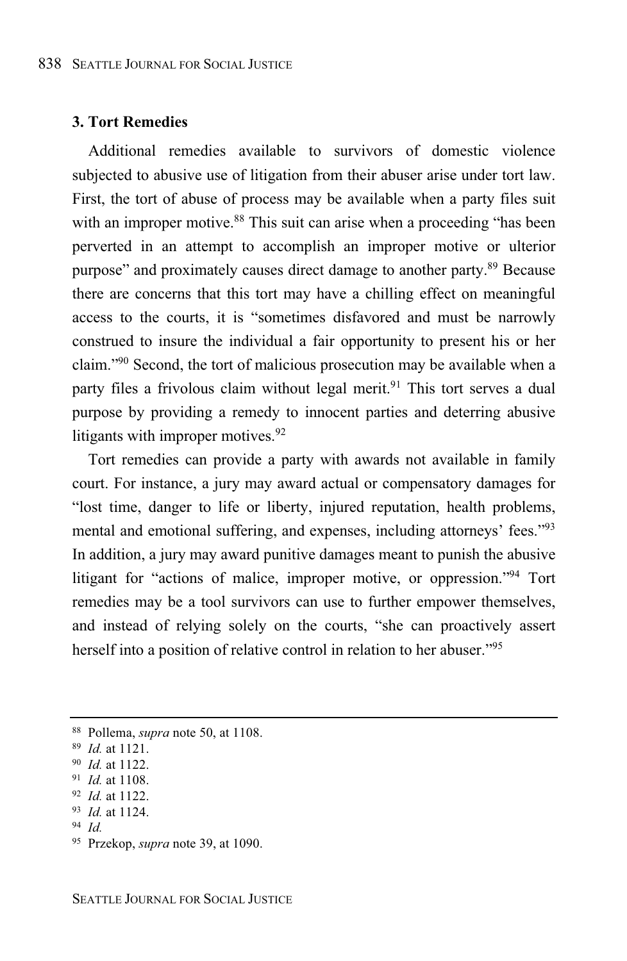#### **3. Tort Remedies**

Additional remedies available to survivors of domestic violence subjected to abusive use of litigation from their abuser arise under tort law. First, the tort of abuse of process may be available when a party files suit with an improper motive.<sup>88</sup> This suit can arise when a proceeding "has been perverted in an attempt to accomplish an improper motive or ulterior purpose" and proximately causes direct damage to another party.<sup>89</sup> Because there are concerns that this tort may have a chilling effect on meaningful access to the courts, it is "sometimes disfavored and must be narrowly construed to insure the individual a fair opportunity to present his or her claim."<sup>90</sup> Second, the tort of malicious prosecution may be available when a party files a frivolous claim without legal merit.<sup>91</sup> This tort serves a dual purpose by providing a remedy to innocent parties and deterring abusive litigants with improper motives.<sup>92</sup>

Tort remedies can provide a party with awards not available in family court. For instance, a jury may award actual or compensatory damages for "lost time, danger to life or liberty, injured reputation, health problems, mental and emotional suffering, and expenses, including attorneys' fees."<sup>93</sup> In addition, a jury may award punitive damages meant to punish the abusive litigant for "actions of malice, improper motive, or oppression."<sup>94</sup> Tort remedies may be a tool survivors can use to further empower themselves, and instead of relying solely on the courts, "she can proactively assert herself into a position of relative control in relation to her abuser."<sup>95</sup>

<sup>94</sup> *Id.*

<sup>88</sup> Pollema, *supra* note 50, at 1108.

<sup>89</sup> *Id.* at 1121.

<sup>90</sup> *Id.* at 1122.

<sup>91</sup> *Id.* at 1108.

<sup>92</sup> *Id.* at 1122.

<sup>93</sup> *Id.* at 1124.

<sup>95</sup> Przekop, *supra* note 39, at 1090.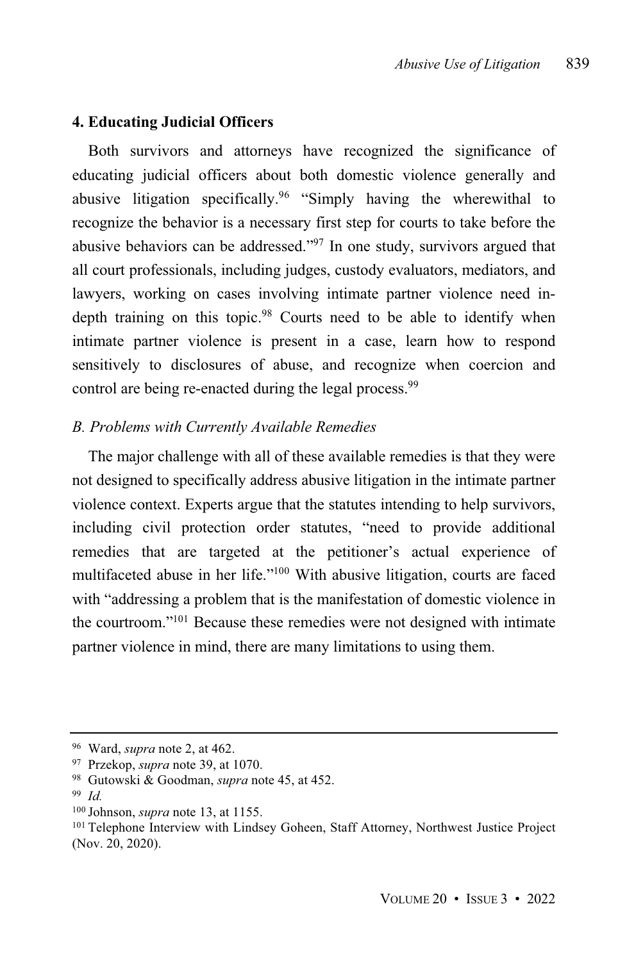#### **4. Educating Judicial Officers**

Both survivors and attorneys have recognized the significance of educating judicial officers about both domestic violence generally and abusive litigation specifically.<sup>96</sup> "Simply having the wherewithal to recognize the behavior is a necessary first step for courts to take before the abusive behaviors can be addressed."<sup>97</sup> In one study, survivors argued that all court professionals, including judges, custody evaluators, mediators, and lawyers, working on cases involving intimate partner violence need indepth training on this topic.<sup>98</sup> Courts need to be able to identify when intimate partner violence is present in a case, learn how to respond sensitively to disclosures of abuse, and recognize when coercion and control are being re-enacted during the legal process.<sup>99</sup>

#### *B. Problems with Currently Available Remedies*

The major challenge with all of these available remedies is that they were not designed to specifically address abusive litigation in the intimate partner violence context. Experts argue that the statutes intending to help survivors, including civil protection order statutes, "need to provide additional remedies that are targeted at the petitioner's actual experience of multifaceted abuse in her life."<sup>100</sup> With abusive litigation, courts are faced with "addressing a problem that is the manifestation of domestic violence in the courtroom."<sup>101</sup> Because these remedies were not designed with intimate partner violence in mind, there are many limitations to using them.

<sup>96</sup> Ward, *supra* note 2, at 462.

<sup>97</sup> Przekop, *supra* note 39, at 1070.

<sup>98</sup> Gutowski & Goodman, *supra* note 45, at 452.

<sup>99</sup> *Id.*

<sup>100</sup> Johnson, *supra* note 13, at 1155.

<sup>&</sup>lt;sup>101</sup> Telephone Interview with Lindsey Goheen, Staff Attorney, Northwest Justice Project (Nov. 20, 2020).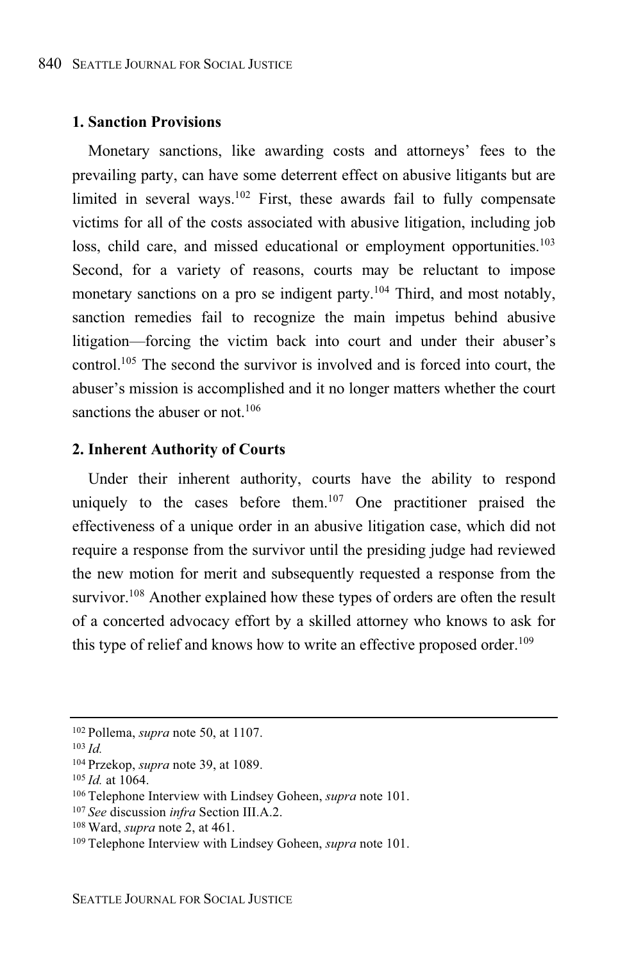#### **1. Sanction Provisions**

Monetary sanctions, like awarding costs and attorneys' fees to the prevailing party, can have some deterrent effect on abusive litigants but are limited in several ways.<sup>102</sup> First, these awards fail to fully compensate victims for all of the costs associated with abusive litigation, including job loss, child care, and missed educational or employment opportunities.<sup>103</sup> Second, for a variety of reasons, courts may be reluctant to impose monetary sanctions on a pro se indigent party.<sup>104</sup> Third, and most notably, sanction remedies fail to recognize the main impetus behind abusive litigation—forcing the victim back into court and under their abuser's control.<sup>105</sup> The second the survivor is involved and is forced into court, the abuser's mission is accomplished and it no longer matters whether the court sanctions the abuser or not.<sup>106</sup>

#### **2. Inherent Authority of Courts**

Under their inherent authority, courts have the ability to respond uniquely to the cases before them. <sup>107</sup> One practitioner praised the effectiveness of a unique order in an abusive litigation case, which did not require a response from the survivor until the presiding judge had reviewed the new motion for merit and subsequently requested a response from the survivor.<sup>108</sup> Another explained how these types of orders are often the result of a concerted advocacy effort by a skilled attorney who knows to ask for this type of relief and knows how to write an effective proposed order. 109

<sup>102</sup> Pollema, *supra* note 50, at 1107.

<sup>103</sup> *Id.*

<sup>104</sup> Przekop, *supra* note 39, at 1089.

<sup>105</sup> *Id.* at 1064.

<sup>106</sup> Telephone Interview with Lindsey Goheen, *supra* note 101.

<sup>107</sup> *See* discussion *infra* Section III.A.2.

<sup>108</sup> Ward, *supra* note 2, at 461.

<sup>109</sup> Telephone Interview with Lindsey Goheen, *supra* note 101.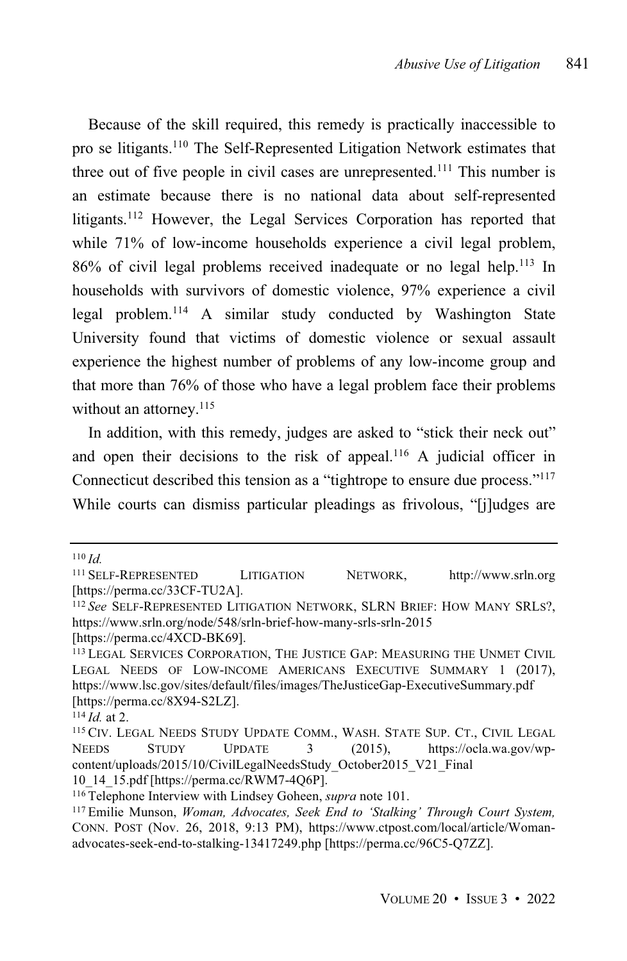Because of the skill required, this remedy is practically inaccessible to pro se litigants.<sup>110</sup> The Self-Represented Litigation Network estimates that three out of five people in civil cases are unrepresented.<sup>111</sup> This number is an estimate because there is no national data about self-represented litigants. <sup>112</sup> However, the Legal Services Corporation has reported that while 71% of low-income households experience a civil legal problem, 86% of civil legal problems received inadequate or no legal help.<sup>113</sup> In households with survivors of domestic violence, 97% experience a civil legal problem.<sup>114</sup> A similar study conducted by Washington State University found that victims of domestic violence or sexual assault experience the highest number of problems of any low-income group and that more than 76% of those who have a legal problem face their problems without an attorney.<sup>115</sup>

In addition, with this remedy, judges are asked to "stick their neck out" and open their decisions to the risk of appeal.<sup>116</sup> A judicial officer in Connecticut described this tension as a "tightrope to ensure due process."<sup>117</sup> While courts can dismiss particular pleadings as frivolous, "[j]udges are

<sup>110</sup> *Id.*

<sup>111</sup> SELF-REPRESENTED LITIGATION NETWORK, http://www.srln.org [https://perma.cc/33CF-TU2A].

<sup>112</sup> *See* SELF-REPRESENTED LITIGATION NETWORK, SLRN BRIEF: HOW MANY SRLS?, https://www.srln.org/node/548/srln-brief-how-many-srls-srln-2015

<sup>[</sup>https://perma.cc/4XCD-BK69].

<sup>113</sup> LEGAL SERVICES CORPORATION, THE JUSTICE GAP: MEASURING THE UNMET CIVIL LEGAL NEEDS OF LOW-INCOME AMERICANS EXECUTIVE SUMMARY 1 (2017), https://www.lsc.gov/sites/default/files/images/TheJusticeGap-ExecutiveSummary.pdf [https://perma.cc/8X94-S2LZ].

<sup>114</sup> *Id.* at 2.

<sup>115</sup> CIV. LEGAL NEEDS STUDY UPDATE COMM., WASH. STATE SUP. CT., CIVIL LEGAL NEEDS STUDY UPDATE 3 (2015), https://ocla.wa.gov/wpcontent/uploads/2015/10/CivilLegalNeedsStudy\_October2015\_V21\_Final 10\_14\_15.pdf [https://perma.cc/RWM7-4Q6P].

<sup>116</sup> Telephone Interview with Lindsey Goheen, *supra* note 101.

<sup>117</sup> Emilie Munson, *Woman, Advocates, Seek End to 'Stalking' Through Court System,* CONN. POST (Nov. 26, 2018, 9:13 PM), https://www.ctpost.com/local/article/Womanadvocates-seek-end-to-stalking-13417249.php [https://perma.cc/96C5-Q7ZZ].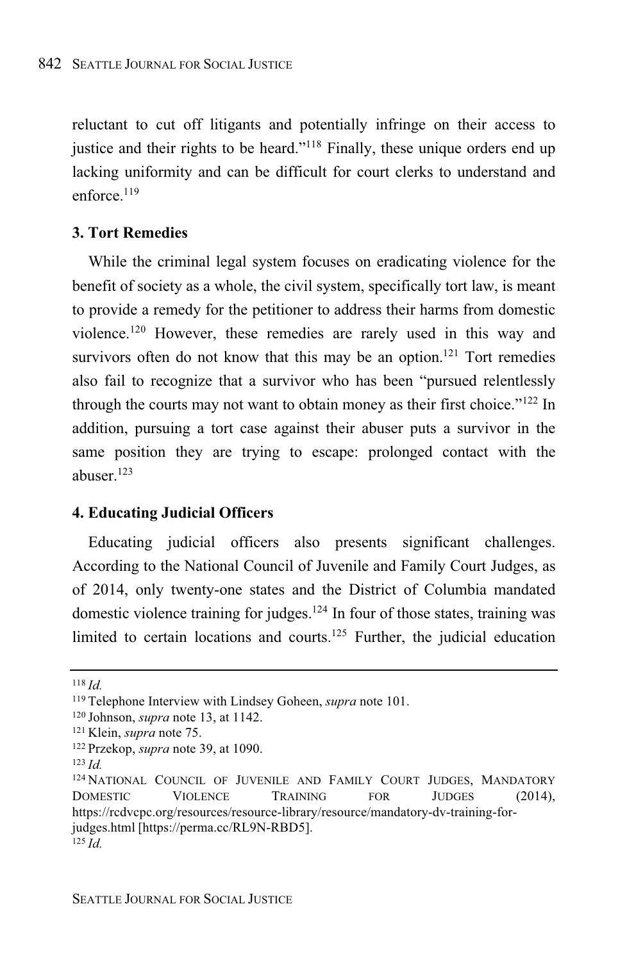reluctant to cut off litigants and potentially infringe on their access to justice and their rights to be heard."<sup>118</sup> Finally, these unique orders end up lacking uniformity and can be difficult for court clerks to understand and enforce.<sup>119</sup>

#### **3. Tort Remedies**

While the criminal legal system focuses on eradicating violence for the benefit of society as a whole, the civil system, specifically tort law, is meant to provide a remedy for the petitioner to address their harms from domestic violence.<sup>120</sup> However, these remedies are rarely used in this way and survivors often do not know that this may be an option.<sup>121</sup> Tort remedies also fail to recognize that a survivor who has been "pursued relentlessly through the courts may not want to obtain money as their first choice."<sup>122</sup> In addition, pursuing a tort case against their abuser puts a survivor in the same position they are trying to escape: prolonged contact with the abuser. 123

#### **4. Educating Judicial Officers**

Educating judicial officers also presents significant challenges. According to the National Council of Juvenile and Family Court Judges, as of 2014, only twenty-one states and the District of Columbia mandated domestic violence training for judges. <sup>124</sup> In four of those states, training was limited to certain locations and courts.<sup>125</sup> Further, the judicial education

<sup>118</sup> *Id.*

<sup>119</sup> Telephone Interview with Lindsey Goheen, *supra* note 101.

<sup>120</sup> Johnson, *supra* note 13, at 1142.

<sup>121</sup> Klein, *supra* note 75.

<sup>122</sup> Przekop, *supra* note 39, at 1090.

<sup>123</sup> *Id.*

<sup>&</sup>lt;sup>124</sup> NATIONAL COUNCIL OF JUVENILE AND FAMILY COURT JUDGES, MANDATORY DOMESTIC VIOLENCE TRAINING FOR JUDGES (2014), https://rcdvcpc.org/resources/resource-library/resource/mandatory-dv-training-forjudges.html [https://perma.cc/RL9N-RBD5]. <sup>125</sup> *Id.*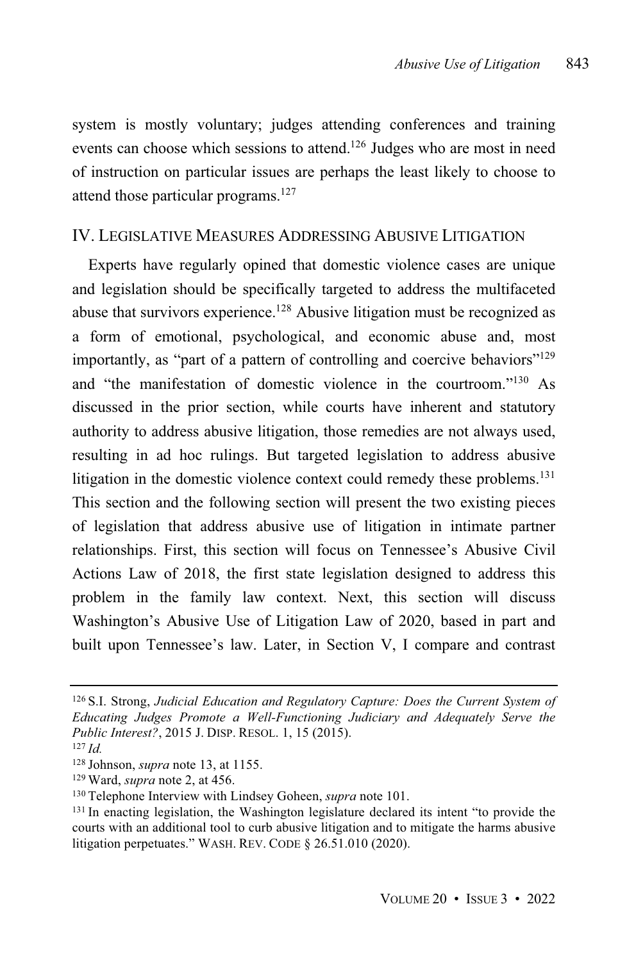system is mostly voluntary; judges attending conferences and training events can choose which sessions to attend.<sup>126</sup> Judges who are most in need of instruction on particular issues are perhaps the least likely to choose to attend those particular programs.<sup>127</sup>

#### IV. LEGISLATIVE MEASURES ADDRESSING ABUSIVE LITIGATION

Experts have regularly opined that domestic violence cases are unique and legislation should be specifically targeted to address the multifaceted abuse that survivors experience.<sup>128</sup> Abusive litigation must be recognized as a form of emotional, psychological, and economic abuse and, most importantly, as "part of a pattern of controlling and coercive behaviors"<sup>129</sup> and "the manifestation of domestic violence in the courtroom." <sup>130</sup> As discussed in the prior section, while courts have inherent and statutory authority to address abusive litigation, those remedies are not always used, resulting in ad hoc rulings. But targeted legislation to address abusive litigation in the domestic violence context could remedy these problems.<sup>131</sup> This section and the following section will present the two existing pieces of legislation that address abusive use of litigation in intimate partner relationships. First, this section will focus on Tennessee's Abusive Civil Actions Law of 2018, the first state legislation designed to address this problem in the family law context. Next, this section will discuss Washington's Abusive Use of Litigation Law of 2020, based in part and built upon Tennessee's law. Later, in Section V, I compare and contrast

<sup>126</sup> S.I. Strong, *Judicial Education and Regulatory Capture: Does the Current System of Educating Judges Promote a Well-Functioning Judiciary and Adequately Serve the Public Interest?*, 2015 J. DISP. RESOL. 1, 15 (2015).

<sup>127</sup> *Id.*

<sup>128</sup> Johnson, *supra* note 13, at 1155.

<sup>129</sup> Ward, *supra* note 2, at 456.

<sup>130</sup> Telephone Interview with Lindsey Goheen, *supra* note 101.

<sup>&</sup>lt;sup>131</sup> In enacting legislation, the Washington legislature declared its intent "to provide the courts with an additional tool to curb abusive litigation and to mitigate the harms abusive litigation perpetuates." WASH. REV. CODE § 26.51.010 (2020).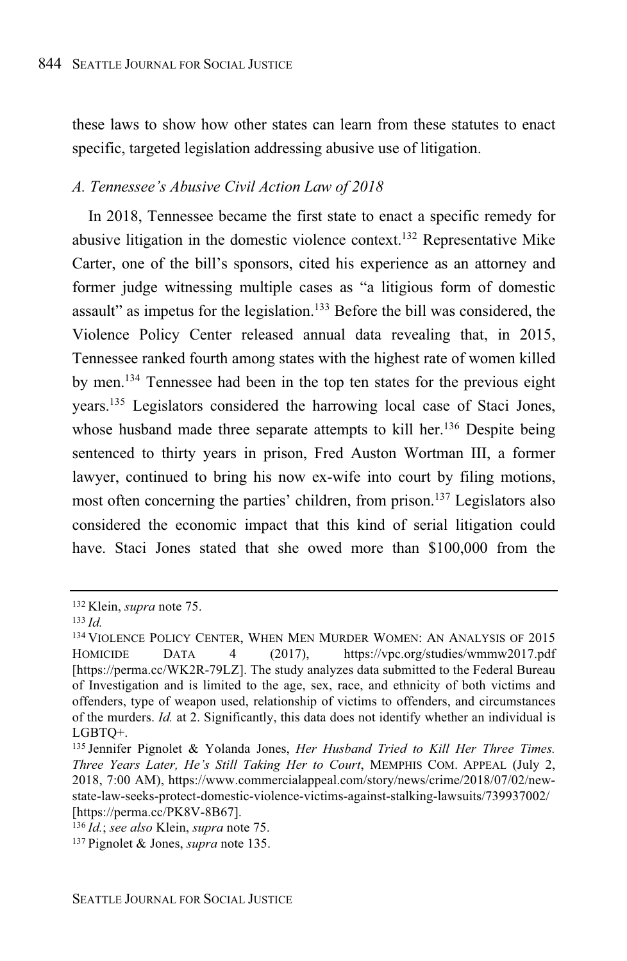these laws to show how other states can learn from these statutes to enact specific, targeted legislation addressing abusive use of litigation.

#### *A. Tennessee's Abusive Civil Action Law of 2018*

In 2018, Tennessee became the first state to enact a specific remedy for abusive litigation in the domestic violence context.<sup>132</sup> Representative Mike Carter, one of the bill's sponsors, cited his experience as an attorney and former judge witnessing multiple cases as "a litigious form of domestic assault" as impetus for the legislation.<sup>133</sup> Before the bill was considered, the Violence Policy Center released annual data revealing that, in 2015, Tennessee ranked fourth among states with the highest rate of women killed by men.<sup>134</sup> Tennessee had been in the top ten states for the previous eight years. <sup>135</sup> Legislators considered the harrowing local case of Staci Jones, whose husband made three separate attempts to kill her.<sup>136</sup> Despite being sentenced to thirty years in prison, Fred Auston Wortman III, a former lawyer, continued to bring his now ex-wife into court by filing motions, most often concerning the parties' children, from prison.<sup>137</sup> Legislators also considered the economic impact that this kind of serial litigation could have. Staci Jones stated that she owed more than \$100,000 from the

<sup>132</sup> Klein, *supra* note 75.

<sup>133</sup> *Id.*

<sup>&</sup>lt;sup>134</sup> VIOLENCE POLICY CENTER, WHEN MEN MURDER WOMEN: AN ANALYSIS OF 2015 HOMICIDE DATA 4 (2017), https://vpc.org/studies/wmmw2017.pdf [https://perma.cc/WK2R-79LZ]. The study analyzes data submitted to the Federal Bureau of Investigation and is limited to the age, sex, race, and ethnicity of both victims and offenders, type of weapon used, relationship of victims to offenders, and circumstances of the murders. *Id.* at 2. Significantly, this data does not identify whether an individual is LGBTQ+.

<sup>135</sup> Jennifer Pignolet & Yolanda Jones, *Her Husband Tried to Kill Her Three Times. Three Years Later, He's Still Taking Her to Court*, MEMPHIS COM. APPEAL (July 2, 2018, 7:00 AM), https://www.commercialappeal.com/story/news/crime/2018/07/02/newstate-law-seeks-protect-domestic-violence-victims-against-stalking-lawsuits/739937002/ [https://perma.cc/PK8V-8B67].

<sup>136</sup> *Id.*; *see also* Klein, *supra* note 75.

<sup>137</sup> Pignolet & Jones, *supra* note 135.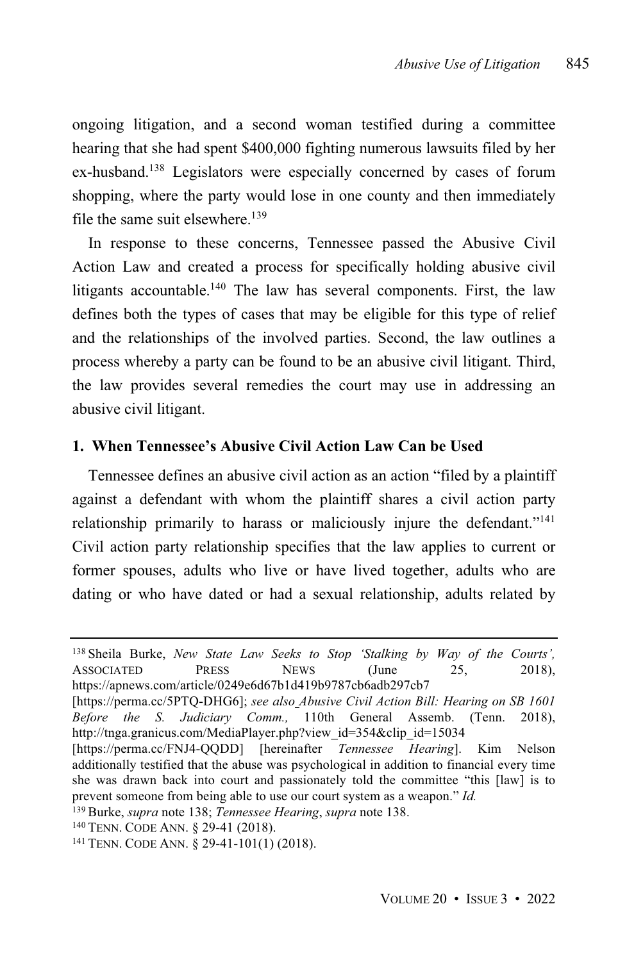ongoing litigation, and a second woman testified during a committee hearing that she had spent \$400,000 fighting numerous lawsuits filed by her ex-husband.<sup>138</sup> Legislators were especially concerned by cases of forum shopping, where the party would lose in one county and then immediately file the same suit elsewhere.<sup>139</sup>

In response to these concerns, Tennessee passed the Abusive Civil Action Law and created a process for specifically holding abusive civil litigants accountable.<sup>140</sup> The law has several components. First, the law defines both the types of cases that may be eligible for this type of relief and the relationships of the involved parties. Second, the law outlines a process whereby a party can be found to be an abusive civil litigant. Third, the law provides several remedies the court may use in addressing an abusive civil litigant.

#### **1. When Tennessee's Abusive Civil Action Law Can be Used**

Tennessee defines an abusive civil action as an action "filed by a plaintiff against a defendant with whom the plaintiff shares a civil action party relationship primarily to harass or maliciously injure the defendant."<sup>141</sup> Civil action party relationship specifies that the law applies to current or former spouses, adults who live or have lived together, adults who are dating or who have dated or had a sexual relationship, adults related by

<sup>138</sup> Sheila Burke, *New State Law Seeks to Stop 'Stalking by Way of the Courts',* ASSOCIATED PRESS NEWS (June 25, 2018), https://apnews.com/article/0249e6d67b1d419b9787cb6adb297cb7

<sup>[</sup>https://perma.cc/5PTQ-DHG6]; *see also Abusive Civil Action Bill: Hearing on SB 1601 Before the S. Judiciary Comm.,* 110th General Assemb. (Tenn. 2018), http://tnga.granicus.com/MediaPlayer.php?view\_id=354&clip\_id=15034

<sup>[</sup>https://perma.cc/FNJ4-QQDD] [hereinafter *Tennessee Hearing*]. Kim Nelson additionally testified that the abuse was psychological in addition to financial every time she was drawn back into court and passionately told the committee "this [law] is to prevent someone from being able to use our court system as a weapon." *Id.*

<sup>139</sup> Burke, *supra* note 138; *Tennessee Hearing*, *supra* note 138.

<sup>140</sup> TENN. CODE ANN. § 29-41 (2018).

<sup>141</sup> TENN. CODE ANN. § 29-41-101(1) (2018).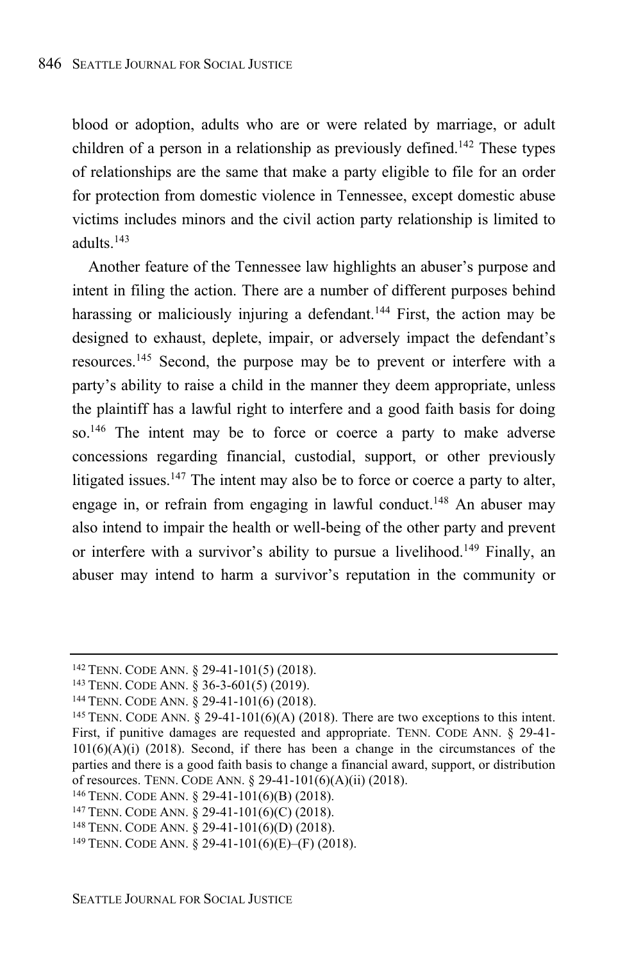blood or adoption, adults who are or were related by marriage, or adult children of a person in a relationship as previously defined.<sup>142</sup> These types of relationships are the same that make a party eligible to file for an order for protection from domestic violence in Tennessee, except domestic abuse victims includes minors and the civil action party relationship is limited to adults. 143

Another feature of the Tennessee law highlights an abuser's purpose and intent in filing the action. There are a number of different purposes behind harassing or maliciously injuring a defendant.<sup>144</sup> First, the action may be designed to exhaust, deplete, impair, or adversely impact the defendant's resources.<sup>145</sup> Second, the purpose may be to prevent or interfere with a party's ability to raise a child in the manner they deem appropriate, unless the plaintiff has a lawful right to interfere and a good faith basis for doing so.<sup>146</sup> The intent may be to force or coerce a party to make adverse concessions regarding financial, custodial, support, or other previously litigated issues.<sup>147</sup> The intent may also be to force or coerce a party to alter, engage in, or refrain from engaging in lawful conduct.<sup>148</sup> An abuser may also intend to impair the health or well-being of the other party and prevent or interfere with a survivor's ability to pursue a livelihood.<sup>149</sup> Finally, an abuser may intend to harm a survivor's reputation in the community or

<sup>142</sup> TENN. CODE ANN. § 29-41-101(5) (2018).

<sup>143</sup> TENN. CODE ANN. § 36-3-601(5) (2019).

<sup>144</sup> TENN. CODE ANN. § 29-41-101(6) (2018).

<sup>&</sup>lt;sup>145</sup> TENN. CODE ANN. § 29-41-101(6)(A) (2018). There are two exceptions to this intent. First, if punitive damages are requested and appropriate. TENN. CODE ANN. § 29-41-  $101(6)(A)(i)$  (2018). Second, if there has been a change in the circumstances of the parties and there is a good faith basis to change a financial award, support, or distribution of resources. TENN. CODE ANN. § 29-41-101(6)(A)(ii) (2018).

<sup>146</sup> TENN. CODE ANN. § 29-41-101(6)(B) (2018).

<sup>147</sup> TENN. CODE ANN. § 29-41-101(6)(C) (2018).

<sup>148</sup> TENN. CODE ANN. § 29-41-101(6)(D) (2018).

<sup>149</sup> TENN. CODE ANN. § 29-41-101(6)(E)–(F) (2018).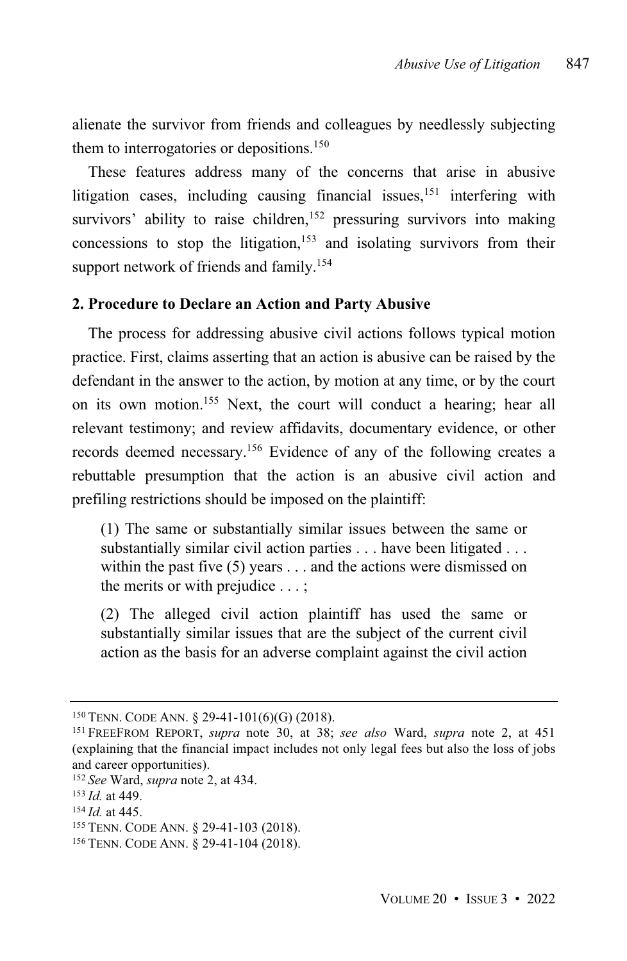alienate the survivor from friends and colleagues by needlessly subjecting them to interrogatories or depositions.<sup>150</sup>

These features address many of the concerns that arise in abusive litigation cases, including causing financial issues, $151$  interfering with survivors' ability to raise children,<sup>152</sup> pressuring survivors into making concessions to stop the litigation, <sup>153</sup> and isolating survivors from their support network of friends and family.<sup>154</sup>

#### **2. Procedure to Declare an Action and Party Abusive**

The process for addressing abusive civil actions follows typical motion practice. First, claims asserting that an action is abusive can be raised by the defendant in the answer to the action, by motion at any time, or by the court on its own motion.<sup>155</sup> Next, the court will conduct a hearing; hear all relevant testimony; and review affidavits, documentary evidence, or other records deemed necessary.<sup>156</sup> Evidence of any of the following creates a rebuttable presumption that the action is an abusive civil action and prefiling restrictions should be imposed on the plaintiff:

(1) The same or substantially similar issues between the same or substantially similar civil action parties . . . have been litigated . . . within the past five (5) years . . . and the actions were dismissed on the merits or with prejudice . . . ;

(2) The alleged civil action plaintiff has used the same or substantially similar issues that are the subject of the current civil action as the basis for an adverse complaint against the civil action

<sup>150</sup> TENN. CODE ANN. § 29-41-101(6)(G) (2018).

<sup>151</sup> FREEFROM REPORT, *supra* note 30, at 38; *see also* Ward, *supra* note 2, at 451 (explaining that the financial impact includes not only legal fees but also the loss of jobs and career opportunities).

<sup>152</sup> *See* Ward, *supra* note 2, at 434.

<sup>153</sup> *Id.* at 449.

<sup>154</sup> *Id.* at 445.

<sup>155</sup> TENN. CODE ANN. § 29-41-103 (2018).

<sup>156</sup> TENN. CODE ANN. § 29-41-104 (2018).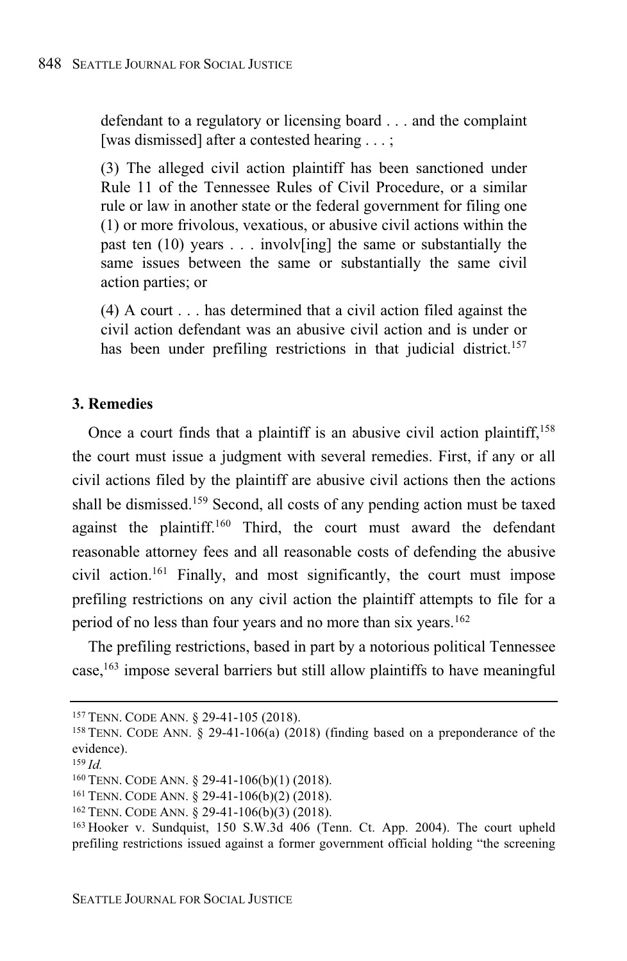defendant to a regulatory or licensing board . . . and the complaint [was dismissed] after a contested hearing . . . ;

(3) The alleged civil action plaintiff has been sanctioned under Rule 11 of the Tennessee Rules of Civil Procedure, or a similar rule or law in another state or the federal government for filing one (1) or more frivolous, vexatious, or abusive civil actions within the past ten  $(10)$  years ... involves in the same or substantially the same issues between the same or substantially the same civil action parties; or

(4) A court . . . has determined that a civil action filed against the civil action defendant was an abusive civil action and is under or has been under prefiling restrictions in that judicial district.<sup>157</sup>

#### **3. Remedies**

Once a court finds that a plaintiff is an abusive civil action plaintiff,<sup>158</sup> the court must issue a judgment with several remedies. First, if any or all civil actions filed by the plaintiff are abusive civil actions then the actions shall be dismissed.<sup>159</sup> Second, all costs of any pending action must be taxed against the plaintiff.<sup>160</sup> Third, the court must award the defendant reasonable attorney fees and all reasonable costs of defending the abusive civil action.<sup>161</sup> Finally, and most significantly, the court must impose prefiling restrictions on any civil action the plaintiff attempts to file for a period of no less than four years and no more than six years. 162

The prefiling restrictions, based in part by a notorious political Tennessee case,<sup>163</sup> impose several barriers but still allow plaintiffs to have meaningful

<sup>157</sup> TENN. CODE ANN. § 29-41-105 (2018).

<sup>158</sup> TENN. CODE ANN. § 29-41-106(a) (2018) (finding based on a preponderance of the evidence).

<sup>159</sup> *Id.*

<sup>160</sup> TENN. CODE ANN. § 29-41-106(b)(1) (2018).

<sup>161</sup> TENN. CODE ANN. § 29-41-106(b)(2) (2018).

<sup>162</sup> TENN. CODE ANN. § 29-41-106(b)(3) (2018).

<sup>163</sup> Hooker v. Sundquist, 150 S.W.3d 406 (Tenn. Ct. App. 2004). The court upheld prefiling restrictions issued against a former government official holding "the screening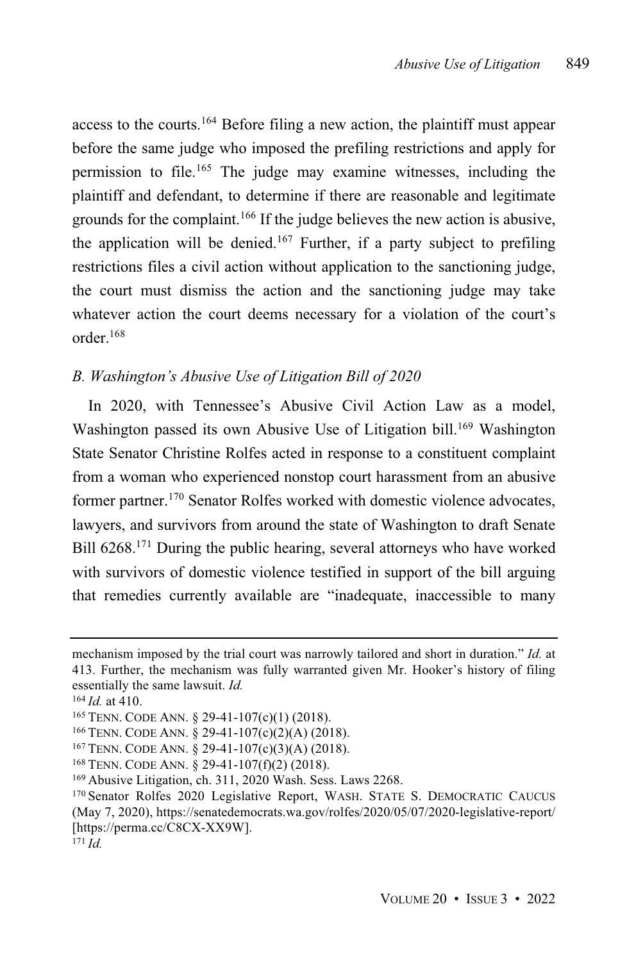access to the courts.<sup>164</sup> Before filing a new action, the plaintiff must appear before the same judge who imposed the prefiling restrictions and apply for permission to file.<sup>165</sup> The judge may examine witnesses, including the plaintiff and defendant, to determine if there are reasonable and legitimate grounds for the complaint. <sup>166</sup> If the judge believes the new action is abusive, the application will be denied.<sup>167</sup> Further, if a party subject to prefiling restrictions files a civil action without application to the sanctioning judge, the court must dismiss the action and the sanctioning judge may take whatever action the court deems necessary for a violation of the court's order.<sup>168</sup>

#### *B. Washington's Abusive Use of Litigation Bill of 2020*

In 2020, with Tennessee's Abusive Civil Action Law as a model, Washington passed its own Abusive Use of Litigation bill.<sup>169</sup> Washington State Senator Christine Rolfes acted in response to a constituent complaint from a woman who experienced nonstop court harassment from an abusive former partner.<sup>170</sup> Senator Rolfes worked with domestic violence advocates, lawyers, and survivors from around the state of Washington to draft Senate Bill 6268.<sup>171</sup> During the public hearing, several attorneys who have worked with survivors of domestic violence testified in support of the bill arguing that remedies currently available are "inadequate, inaccessible to many

mechanism imposed by the trial court was narrowly tailored and short in duration." *Id.* at 413. Further, the mechanism was fully warranted given Mr. Hooker's history of filing essentially the same lawsuit. *Id.*

<sup>164</sup> *Id.* at 410.

<sup>165</sup> TENN. CODE ANN. § 29-41-107(c)(1) (2018).

<sup>166</sup> TENN. CODE ANN. § 29-41-107(c)(2)(A) (2018).

<sup>167</sup> TENN. CODE ANN. § 29-41-107(c)(3)(A) (2018).

<sup>168</sup> TENN. CODE ANN. § 29-41-107(f)(2) (2018).

<sup>169</sup> Abusive Litigation, ch. 311, 2020 Wash. Sess. Laws 2268.

<sup>170</sup> Senator Rolfes 2020 Legislative Report, WASH. STATE S. DEMOCRATIC CAUCUS (May 7, 2020), https://senatedemocrats.wa.gov/rolfes/2020/05/07/2020-legislative-report/ [https://perma.cc/C8CX-XX9W].

<sup>171</sup> *Id.*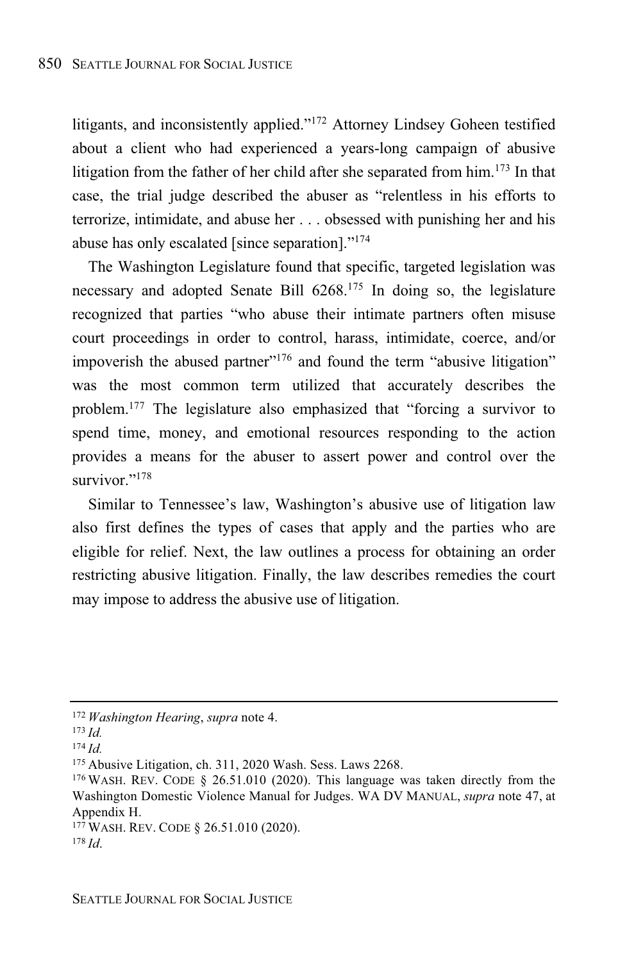litigants, and inconsistently applied."<sup>172</sup> Attorney Lindsey Goheen testified about a client who had experienced a years-long campaign of abusive litigation from the father of her child after she separated from him.<sup>173</sup> In that case, the trial judge described the abuser as "relentless in his efforts to terrorize, intimidate, and abuse her . . . obsessed with punishing her and his abuse has only escalated [since separation]." 174

The Washington Legislature found that specific, targeted legislation was necessary and adopted Senate Bill 6268.<sup>175</sup> In doing so, the legislature recognized that parties "who abuse their intimate partners often misuse court proceedings in order to control, harass, intimidate, coerce, and/or impoverish the abused partner"<sup>176</sup> and found the term "abusive litigation" was the most common term utilized that accurately describes the problem. <sup>177</sup> The legislature also emphasized that "forcing a survivor to spend time, money, and emotional resources responding to the action provides a means for the abuser to assert power and control over the survivor."<sup>178</sup>

Similar to Tennessee's law, Washington's abusive use of litigation law also first defines the types of cases that apply and the parties who are eligible for relief. Next, the law outlines a process for obtaining an order restricting abusive litigation. Finally, the law describes remedies the court may impose to address the abusive use of litigation.

<sup>172</sup> *Washington Hearing*, *supra* note 4.

<sup>173</sup> *Id.*

<sup>174</sup> *Id.*

<sup>175</sup> Abusive Litigation, ch. 311, 2020 Wash. Sess. Laws 2268.

<sup>176</sup> WASH. REV. CODE § 26.51.010 (2020). This language was taken directly from the Washington Domestic Violence Manual for Judges. WA DV MANUAL, *supra* note 47, at Appendix H.

<sup>177</sup> WASH. REV. CODE § 26.51.010 (2020). <sup>178</sup> *Id*.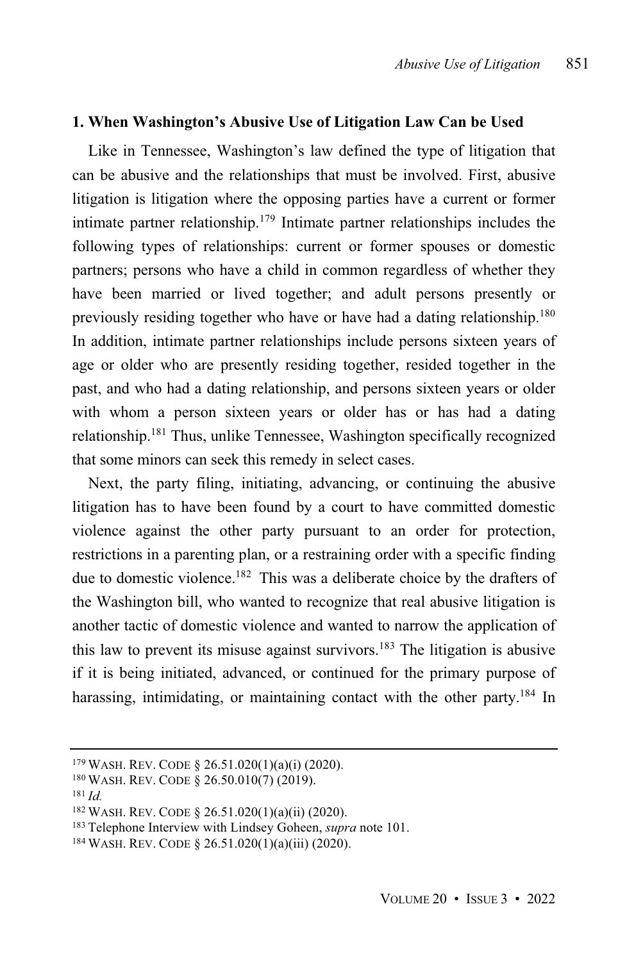#### **1. When Washington's Abusive Use of Litigation Law Can be Used**

Like in Tennessee, Washington's law defined the type of litigation that can be abusive and the relationships that must be involved. First, abusive litigation is litigation where the opposing parties have a current or former intimate partner relationship.<sup>179</sup> Intimate partner relationships includes the following types of relationships: current or former spouses or domestic partners; persons who have a child in common regardless of whether they have been married or lived together; and adult persons presently or previously residing together who have or have had a dating relationship.<sup>180</sup> In addition, intimate partner relationships include persons sixteen years of age or older who are presently residing together, resided together in the past, and who had a dating relationship, and persons sixteen years or older with whom a person sixteen years or older has or has had a dating relationship.<sup>181</sup> Thus, unlike Tennessee, Washington specifically recognized that some minors can seek this remedy in select cases.

Next, the party filing, initiating, advancing, or continuing the abusive litigation has to have been found by a court to have committed domestic violence against the other party pursuant to an order for protection, restrictions in a parenting plan, or a restraining order with a specific finding due to domestic violence.<sup>182</sup> This was a deliberate choice by the drafters of the Washington bill, who wanted to recognize that real abusive litigation is another tactic of domestic violence and wanted to narrow the application of this law to prevent its misuse against survivors. <sup>183</sup> The litigation is abusive if it is being initiated, advanced, or continued for the primary purpose of harassing, intimidating, or maintaining contact with the other party.<sup>184</sup> In

<sup>179</sup> WASH. REV. CODE § 26.51.020(1)(a)(i) (2020).

<sup>180</sup> WASH. REV. CODE § 26.50.010(7) (2019).

<sup>181</sup> *Id.*

<sup>182</sup> WASH. REV. CODE § 26.51.020(1)(a)(ii) (2020).

<sup>183</sup> Telephone Interview with Lindsey Goheen, *supra* note 101.

<sup>184</sup> WASH. REV. CODE § 26.51.020(1)(a)(iii) (2020).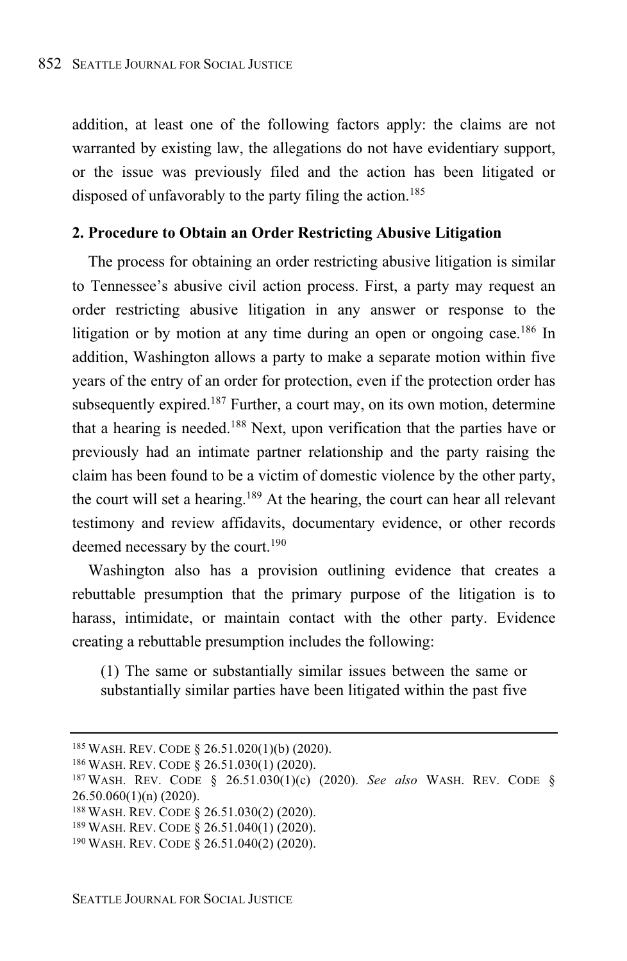addition, at least one of the following factors apply: the claims are not warranted by existing law, the allegations do not have evidentiary support, or the issue was previously filed and the action has been litigated or disposed of unfavorably to the party filing the action.<sup>185</sup>

#### **2. Procedure to Obtain an Order Restricting Abusive Litigation**

The process for obtaining an order restricting abusive litigation is similar to Tennessee's abusive civil action process. First, a party may request an order restricting abusive litigation in any answer or response to the litigation or by motion at any time during an open or ongoing case.<sup>186</sup> In addition, Washington allows a party to make a separate motion within five years of the entry of an order for protection, even if the protection order has subsequently expired.<sup>187</sup> Further, a court may, on its own motion, determine that a hearing is needed.<sup>188</sup> Next, upon verification that the parties have or previously had an intimate partner relationship and the party raising the claim has been found to be a victim of domestic violence by the other party, the court will set a hearing.<sup>189</sup> At the hearing, the court can hear all relevant testimony and review affidavits, documentary evidence, or other records deemed necessary by the court. 190

Washington also has a provision outlining evidence that creates a rebuttable presumption that the primary purpose of the litigation is to harass, intimidate, or maintain contact with the other party. Evidence creating a rebuttable presumption includes the following:

(1) The same or substantially similar issues between the same or substantially similar parties have been litigated within the past five

<sup>185</sup> WASH. REV. CODE § 26.51.020(1)(b) (2020).

<sup>186</sup> WASH. REV. CODE § 26.51.030(1) (2020).

<sup>187</sup> WASH. REV. CODE § 26.51.030(1)(c) (2020). *See also* WASH. REV. CODE § 26.50.060(1)(n) (2020).

<sup>188</sup> WASH. REV. CODE § 26.51.030(2) (2020).

<sup>189</sup> WASH. REV. CODE § 26.51.040(1) (2020).

<sup>190</sup> WASH. REV. CODE § 26.51.040(2) (2020).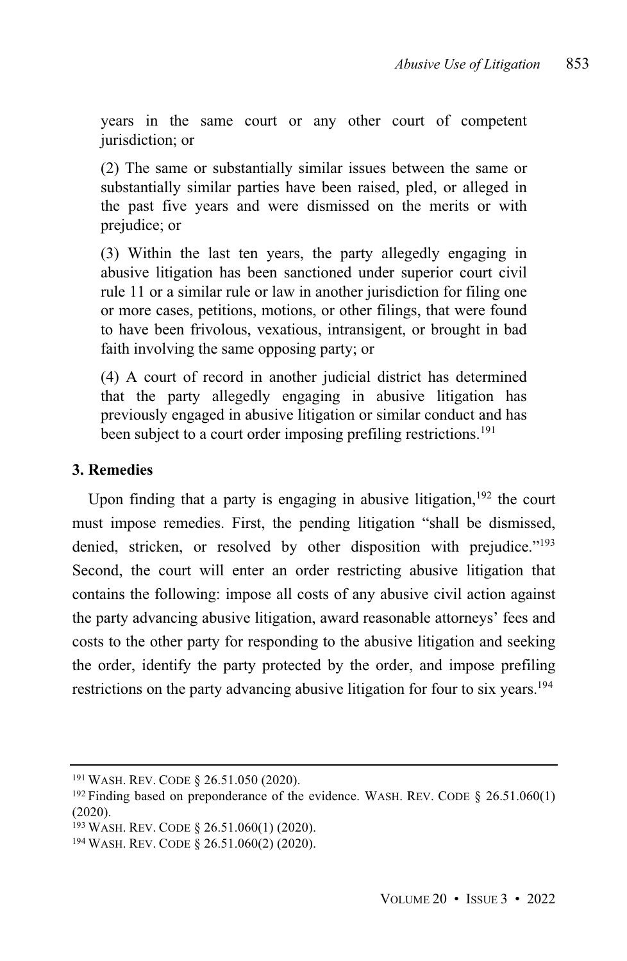years in the same court or any other court of competent jurisdiction; or

(2) The same or substantially similar issues between the same or substantially similar parties have been raised, pled, or alleged in the past five years and were dismissed on the merits or with prejudice; or

(3) Within the last ten years, the party allegedly engaging in abusive litigation has been sanctioned under superior court civil rule 11 or a similar rule or law in another jurisdiction for filing one or more cases, petitions, motions, or other filings, that were found to have been frivolous, vexatious, intransigent, or brought in bad faith involving the same opposing party; or

(4) A court of record in another judicial district has determined that the party allegedly engaging in abusive litigation has previously engaged in abusive litigation or similar conduct and has been subject to a court order imposing prefiling restrictions.<sup>191</sup>

# **3. Remedies**

Upon finding that a party is engaging in abusive litigation,  $192$  the court must impose remedies. First, the pending litigation "shall be dismissed, denied, stricken, or resolved by other disposition with prejudice."<sup>193</sup> Second, the court will enter an order restricting abusive litigation that contains the following: impose all costs of any abusive civil action against the party advancing abusive litigation, award reasonable attorneys' fees and costs to the other party for responding to the abusive litigation and seeking the order, identify the party protected by the order, and impose prefiling restrictions on the party advancing abusive litigation for four to six years.<sup>194</sup>

<sup>191</sup> WASH. REV. CODE § 26.51.050 (2020).

<sup>&</sup>lt;sup>192</sup> Finding based on preponderance of the evidence. WASH. REV. CODE § 26.51.060(1) (2020).

<sup>193</sup> WASH. REV. CODE § 26.51.060(1) (2020).

<sup>194</sup> WASH. REV. CODE § 26.51.060(2) (2020).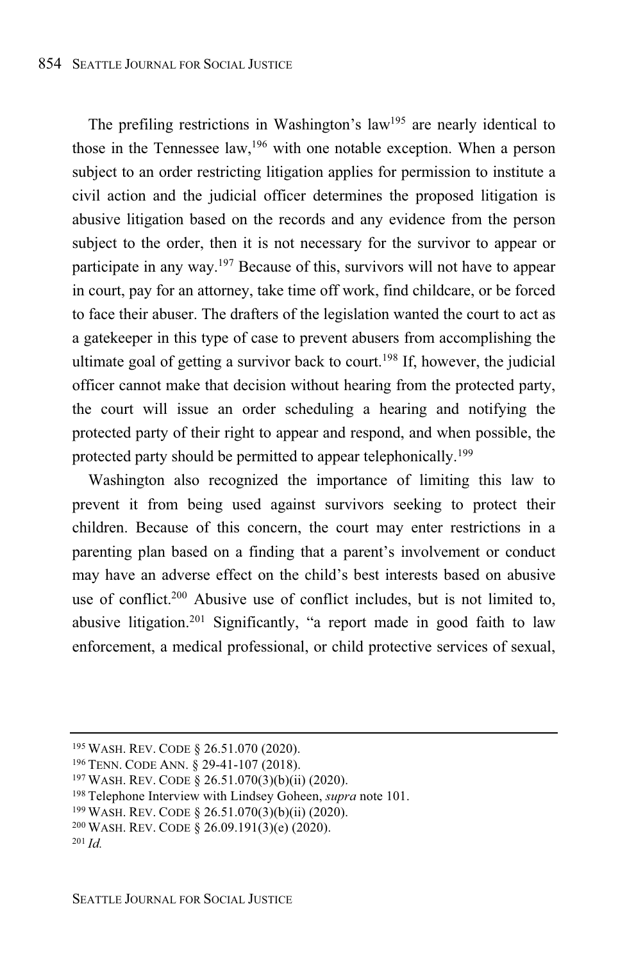The prefiling restrictions in Washington's law<sup>195</sup> are nearly identical to those in the Tennessee law, <sup>196</sup> with one notable exception. When a person subject to an order restricting litigation applies for permission to institute a civil action and the judicial officer determines the proposed litigation is abusive litigation based on the records and any evidence from the person subject to the order, then it is not necessary for the survivor to appear or participate in any way.<sup>197</sup> Because of this, survivors will not have to appear in court, pay for an attorney, take time off work, find childcare, or be forced to face their abuser. The drafters of the legislation wanted the court to act as a gatekeeper in this type of case to prevent abusers from accomplishing the ultimate goal of getting a survivor back to court. <sup>198</sup> If, however, the judicial officer cannot make that decision without hearing from the protected party, the court will issue an order scheduling a hearing and notifying the protected party of their right to appear and respond, and when possible, the protected party should be permitted to appear telephonically.<sup>199</sup>

Washington also recognized the importance of limiting this law to prevent it from being used against survivors seeking to protect their children. Because of this concern, the court may enter restrictions in a parenting plan based on a finding that a parent's involvement or conduct may have an adverse effect on the child's best interests based on abusive use of conflict.<sup>200</sup> Abusive use of conflict includes, but is not limited to, abusive litigation.<sup>201</sup> Significantly, "a report made in good faith to law enforcement, a medical professional, or child protective services of sexual,

<sup>195</sup> WASH. REV. CODE § 26.51.070 (2020).

<sup>196</sup> TENN. CODE ANN. § 29-41-107 (2018).

<sup>197</sup> WASH. REV. CODE § 26.51.070(3)(b)(ii) (2020).

<sup>198</sup> Telephone Interview with Lindsey Goheen, *supra* note 101.

<sup>199</sup> WASH. REV. CODE § 26.51.070(3)(b)(ii) (2020).

<sup>200</sup> WASH. REV. CODE § 26.09.191(3)(e) (2020).

<sup>201</sup> *Id.*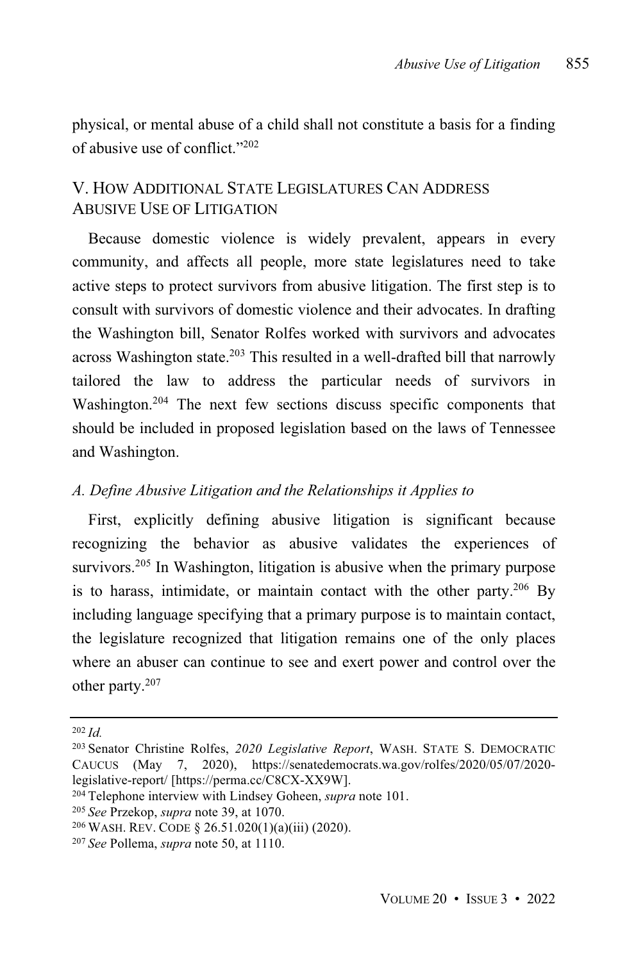physical, or mental abuse of a child shall not constitute a basis for a finding of abusive use of conflict."<sup>202</sup>

# V. HOW ADDITIONAL STATE LEGISLATURES CAN ADDRESS ABUSIVE USE OF LITIGATION

Because domestic violence is widely prevalent, appears in every community, and affects all people, more state legislatures need to take active steps to protect survivors from abusive litigation. The first step is to consult with survivors of domestic violence and their advocates. In drafting the Washington bill, Senator Rolfes worked with survivors and advocates across Washington state.<sup>203</sup> This resulted in a well-drafted bill that narrowly tailored the law to address the particular needs of survivors in Washington. <sup>204</sup> The next few sections discuss specific components that should be included in proposed legislation based on the laws of Tennessee and Washington.

#### *A. Define Abusive Litigation and the Relationships it Applies to*

First, explicitly defining abusive litigation is significant because recognizing the behavior as abusive validates the experiences of survivors.<sup>205</sup> In Washington, litigation is abusive when the primary purpose is to harass, intimidate, or maintain contact with the other party.<sup>206</sup> By including language specifying that a primary purpose is to maintain contact, the legislature recognized that litigation remains one of the only places where an abuser can continue to see and exert power and control over the other party.<sup>207</sup>

<sup>204</sup> Telephone interview with Lindsey Goheen, *supra* note 101.

<sup>202</sup> *Id.*

<sup>203</sup> Senator Christine Rolfes, *2020 Legislative Report*, WASH. STATE S. DEMOCRATIC CAUCUS (May 7, 2020), https://senatedemocrats.wa.gov/rolfes/2020/05/07/2020 legislative-report/ [https://perma.cc/C8CX-XX9W].

<sup>205</sup> *See* Przekop, *supra* note 39, at 1070.

<sup>206</sup> WASH. REV. CODE § 26.51.020(1)(a)(iii) (2020).

<sup>207</sup> *See* Pollema, *supra* note 50, at 1110.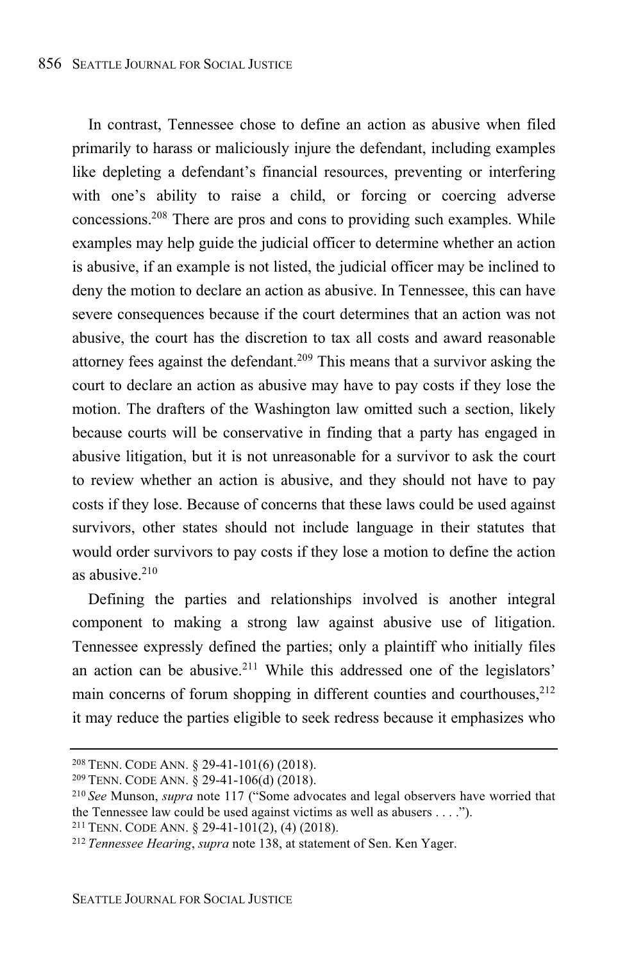In contrast, Tennessee chose to define an action as abusive when filed primarily to harass or maliciously injure the defendant, including examples like depleting a defendant's financial resources, preventing or interfering with one's ability to raise a child, or forcing or coercing adverse concessions.<sup>208</sup> There are pros and cons to providing such examples. While examples may help guide the judicial officer to determine whether an action is abusive, if an example is not listed, the judicial officer may be inclined to deny the motion to declare an action as abusive. In Tennessee, this can have severe consequences because if the court determines that an action was not abusive, the court has the discretion to tax all costs and award reasonable attorney fees against the defendant.<sup>209</sup> This means that a survivor asking the court to declare an action as abusive may have to pay costs if they lose the motion. The drafters of the Washington law omitted such a section, likely because courts will be conservative in finding that a party has engaged in abusive litigation, but it is not unreasonable for a survivor to ask the court to review whether an action is abusive, and they should not have to pay costs if they lose. Because of concerns that these laws could be used against survivors, other states should not include language in their statutes that would order survivors to pay costs if they lose a motion to define the action as abusive. 210

Defining the parties and relationships involved is another integral component to making a strong law against abusive use of litigation. Tennessee expressly defined the parties; only a plaintiff who initially files an action can be abusive.<sup>211</sup> While this addressed one of the legislators' main concerns of forum shopping in different counties and courthouses,<sup>212</sup> it may reduce the parties eligible to seek redress because it emphasizes who

<sup>208</sup> TENN. CODE ANN. § 29-41-101(6) (2018).

<sup>209</sup> TENN. CODE ANN. § 29-41-106(d) (2018).

<sup>210</sup> *See* Munson, *supra* note 117 ("Some advocates and legal observers have worried that the Tennessee law could be used against victims as well as abusers . . . .").

<sup>211</sup> TENN. CODE ANN. § 29-41-101(2), (4) (2018).

<sup>212</sup> *Tennessee Hearing*, *supra* note 138, at statement of Sen. Ken Yager.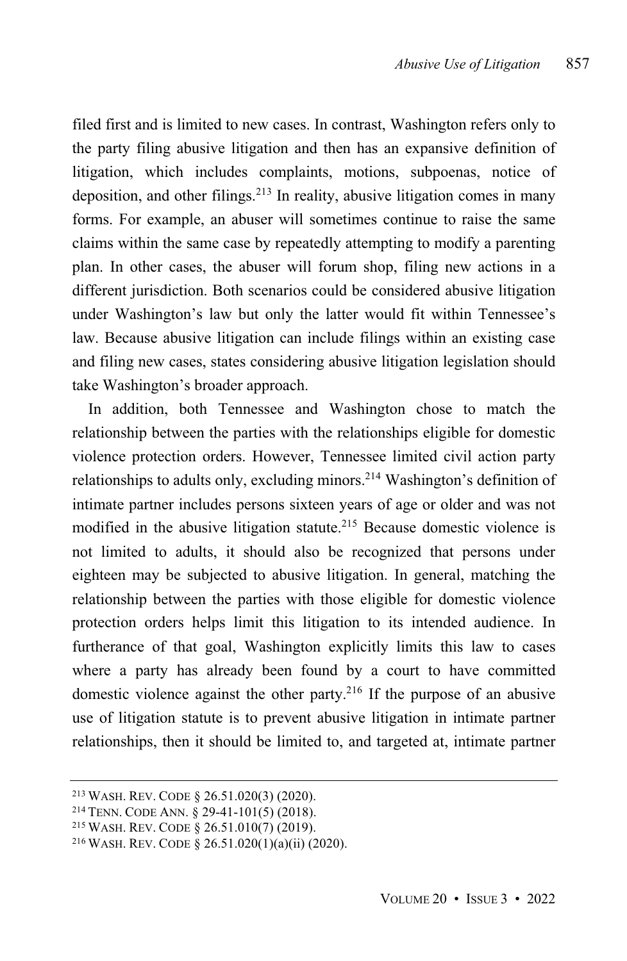filed first and is limited to new cases. In contrast, Washington refers only to the party filing abusive litigation and then has an expansive definition of litigation, which includes complaints, motions, subpoenas, notice of deposition, and other filings. <sup>213</sup> In reality, abusive litigation comes in many forms. For example, an abuser will sometimes continue to raise the same claims within the same case by repeatedly attempting to modify a parenting plan. In other cases, the abuser will forum shop, filing new actions in a different jurisdiction. Both scenarios could be considered abusive litigation under Washington's law but only the latter would fit within Tennessee's law. Because abusive litigation can include filings within an existing case and filing new cases, states considering abusive litigation legislation should take Washington's broader approach.

In addition, both Tennessee and Washington chose to match the relationship between the parties with the relationships eligible for domestic violence protection orders. However, Tennessee limited civil action party relationships to adults only, excluding minors.<sup>214</sup> Washington's definition of intimate partner includes persons sixteen years of age or older and was not modified in the abusive litigation statute.<sup>215</sup> Because domestic violence is not limited to adults, it should also be recognized that persons under eighteen may be subjected to abusive litigation. In general, matching the relationship between the parties with those eligible for domestic violence protection orders helps limit this litigation to its intended audience. In furtherance of that goal, Washington explicitly limits this law to cases where a party has already been found by a court to have committed domestic violence against the other party.<sup>216</sup> If the purpose of an abusive use of litigation statute is to prevent abusive litigation in intimate partner relationships, then it should be limited to, and targeted at, intimate partner

<sup>213</sup> WASH. REV. CODE § 26.51.020(3) (2020).

<sup>214</sup> TENN. CODE ANN. § 29-41-101(5) (2018).

<sup>215</sup> WASH. REV. CODE § 26.51.010(7) (2019).

<sup>216</sup> WASH. REV. CODE § 26.51.020(1)(a)(ii) (2020).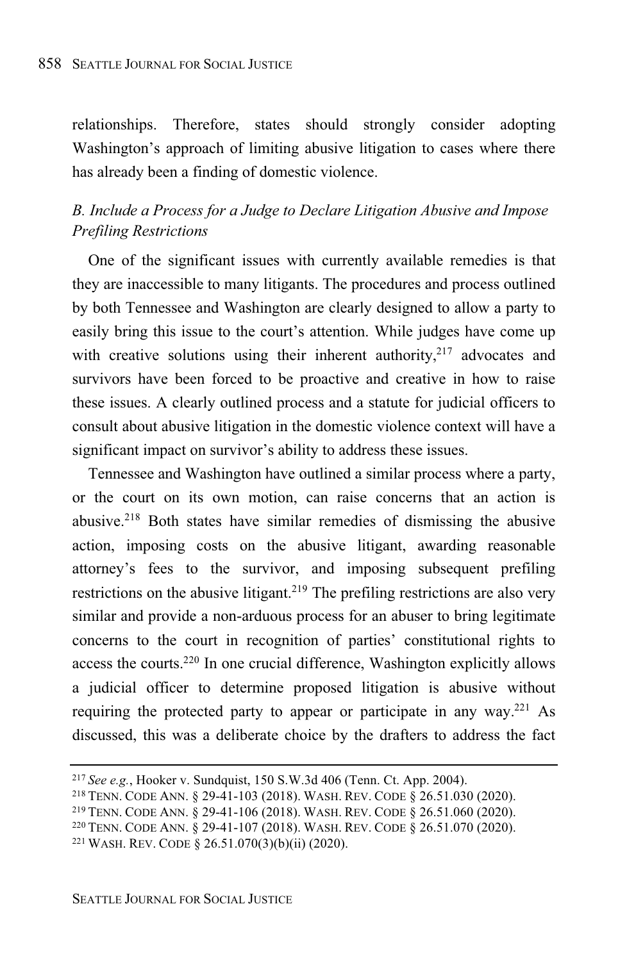relationships. Therefore, states should strongly consider adopting Washington's approach of limiting abusive litigation to cases where there has already been a finding of domestic violence.

### *B. Include a Process for a Judge to Declare Litigation Abusive and Impose Prefiling Restrictions*

One of the significant issues with currently available remedies is that they are inaccessible to many litigants. The procedures and process outlined by both Tennessee and Washington are clearly designed to allow a party to easily bring this issue to the court's attention. While judges have come up with creative solutions using their inherent authority,<sup>217</sup> advocates and survivors have been forced to be proactive and creative in how to raise these issues. A clearly outlined process and a statute for judicial officers to consult about abusive litigation in the domestic violence context will have a significant impact on survivor's ability to address these issues.

Tennessee and Washington have outlined a similar process where a party, or the court on its own motion, can raise concerns that an action is abusive.<sup>218</sup> Both states have similar remedies of dismissing the abusive action, imposing costs on the abusive litigant, awarding reasonable attorney's fees to the survivor, and imposing subsequent prefiling restrictions on the abusive litigant.<sup>219</sup> The prefiling restrictions are also very similar and provide a non-arduous process for an abuser to bring legitimate concerns to the court in recognition of parties' constitutional rights to access the courts.<sup>220</sup> In one crucial difference, Washington explicitly allows a judicial officer to determine proposed litigation is abusive without requiring the protected party to appear or participate in any way.<sup>221</sup> As discussed, this was a deliberate choice by the drafters to address the fact

<sup>217</sup> *See e.g.*, Hooker v. Sundquist, 150 S.W.3d 406 (Tenn. Ct. App. 2004).

<sup>218</sup> TENN. CODE ANN. § 29-41-103 (2018). WASH. REV. CODE § 26.51.030 (2020).

<sup>219</sup> TENN. CODE ANN. § 29-41-106 (2018). WASH. REV. CODE § 26.51.060 (2020).

<sup>220</sup> TENN. CODE ANN. § 29-41-107 (2018). WASH. REV. CODE § 26.51.070 (2020).

<sup>221</sup> WASH. REV. CODE § 26.51.070(3)(b)(ii) (2020).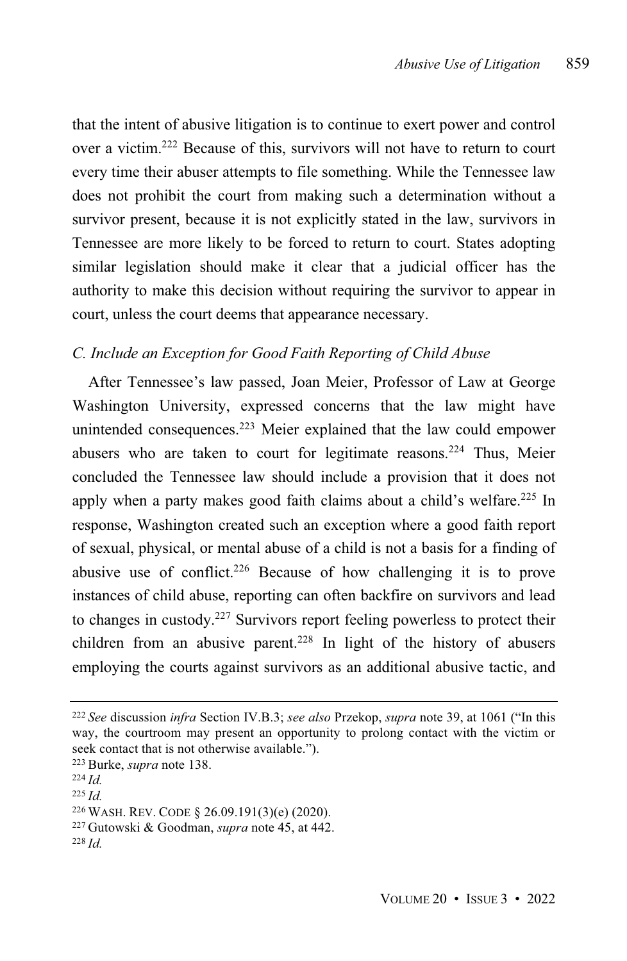that the intent of abusive litigation is to continue to exert power and control over a victim. <sup>222</sup> Because of this, survivors will not have to return to court every time their abuser attempts to file something. While the Tennessee law does not prohibit the court from making such a determination without a survivor present, because it is not explicitly stated in the law, survivors in Tennessee are more likely to be forced to return to court. States adopting similar legislation should make it clear that a judicial officer has the authority to make this decision without requiring the survivor to appear in court, unless the court deems that appearance necessary.

#### *C. Include an Exception for Good Faith Reporting of Child Abuse*

After Tennessee's law passed, Joan Meier, Professor of Law at George Washington University, expressed concerns that the law might have unintended consequences. <sup>223</sup> Meier explained that the law could empower abusers who are taken to court for legitimate reasons.<sup>224</sup> Thus, Meier concluded the Tennessee law should include a provision that it does not apply when a party makes good faith claims about a child's welfare. <sup>225</sup> In response, Washington created such an exception where a good faith report of sexual, physical, or mental abuse of a child is not a basis for a finding of abusive use of conflict.<sup>226</sup> Because of how challenging it is to prove instances of child abuse, reporting can often backfire on survivors and lead to changes in custody.<sup>227</sup> Survivors report feeling powerless to protect their children from an abusive parent.<sup>228</sup> In light of the history of abusers employing the courts against survivors as an additional abusive tactic, and

<sup>225</sup> *Id.*

<sup>222</sup> *See* discussion *infra* Section IV.B.3; *see also* Przekop, *supra* note 39, at 1061 ("In this way, the courtroom may present an opportunity to prolong contact with the victim or seek contact that is not otherwise available.").

<sup>223</sup> Burke, *supra* note 138.

<sup>224</sup> *Id.*

<sup>226</sup> WASH. REV. CODE § 26.09.191(3)(e) (2020).

<sup>227</sup> Gutowski & Goodman, *supra* note 45, at 442.

<sup>228</sup> *Id.*